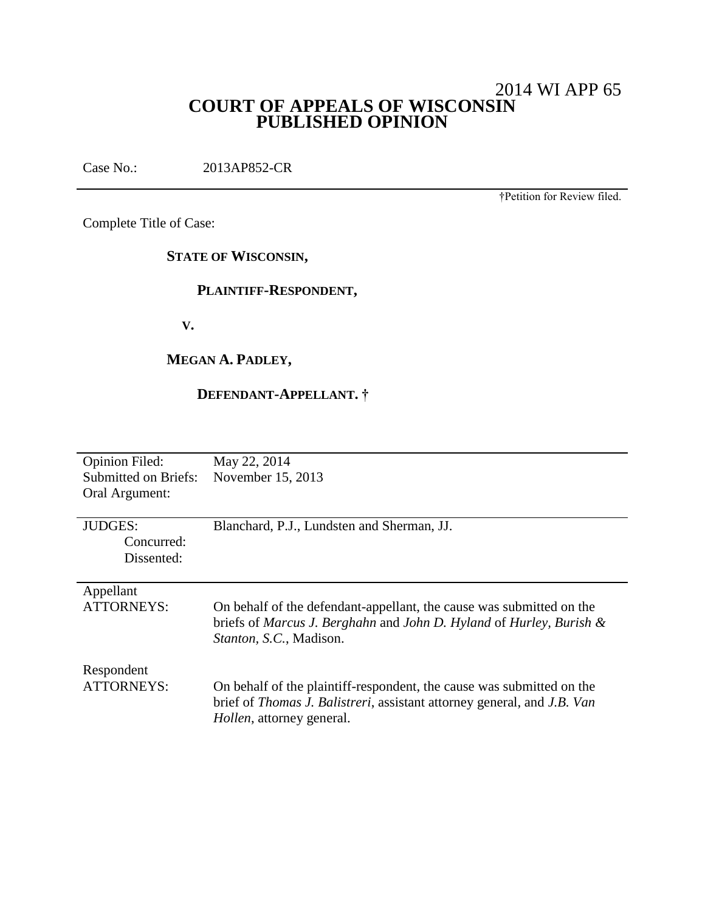# 2014 WI APP 65 **COURT OF APPEALS OF WISCONSIN PUBLISHED OPINION**

Case No.: 2013AP852-CR

†Petition for Review filed.

Complete Title of Case:

**STATE OF WISCONSIN,**

## **PLAINTIFF-RESPONDENT,**

 **V.**

# **MEGAN A. PADLEY,**

# **DEFENDANT-APPELLANT. †**

| <b>Opinion Filed:</b> | May 22, 2014                                                            |
|-----------------------|-------------------------------------------------------------------------|
| Submitted on Briefs:  | November 15, 2013                                                       |
| Oral Argument:        |                                                                         |
|                       |                                                                         |
| <b>JUDGES:</b>        | Blanchard, P.J., Lundsten and Sherman, JJ.                              |
| Concurred:            |                                                                         |
| Dissented:            |                                                                         |
|                       |                                                                         |
| Appellant             |                                                                         |
| ATTORNEYS:            | On behalf of the defendant-appellant, the cause was submitted on the    |
|                       | briefs of Marcus J. Berghahn and John D. Hyland of Hurley, Burish $\&$  |
|                       | Stanton, S.C., Madison.                                                 |
|                       |                                                                         |
| Respondent            |                                                                         |
| <b>ATTORNEYS:</b>     | On behalf of the plaintiff-respondent, the cause was submitted on the   |
|                       | brief of Thomas J. Balistreri, assistant attorney general, and J.B. Van |
|                       | <i>Hollen</i> , attorney general.                                       |
|                       |                                                                         |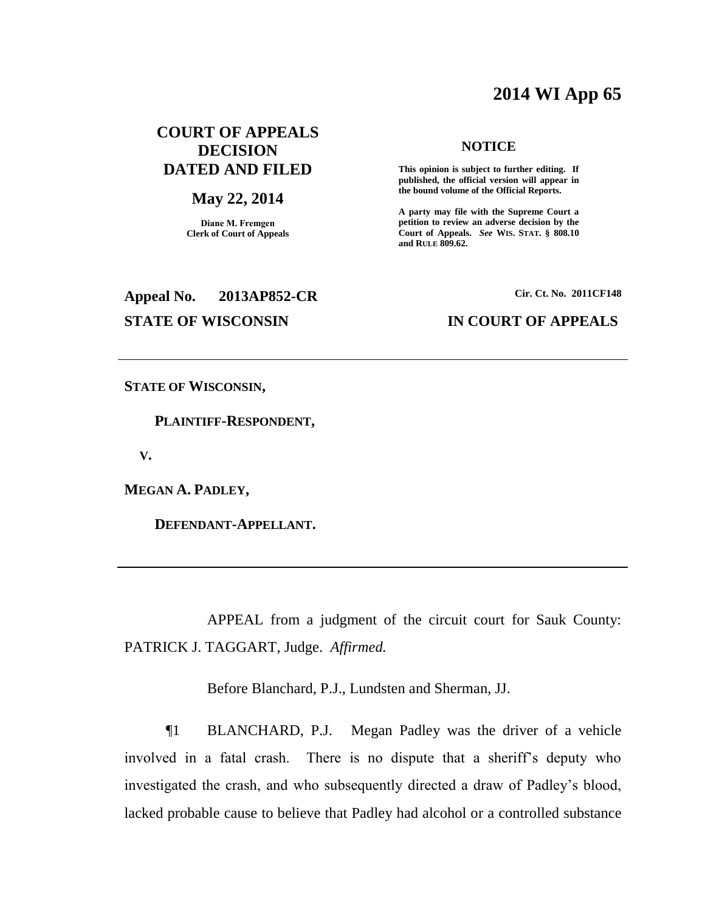# **2014 WI App 65**

# **COURT OF APPEALS DECISION DATED AND FILED**

#### **May 22, 2014**

**Diane M. Fremgen Clerk of Court of Appeals**

# **Appeal No. 2013AP852-CR Cir. Ct. No. 2011CF148**

#### **NOTICE**

**This opinion is subject to further editing. If published, the official version will appear in the bound volume of the Official Reports.** 

**A party may file with the Supreme Court a petition to review an adverse decision by the Court of Appeals.** *See* **WIS. STAT. § 808.10 and RULE 809.62.** 

#### **STATE OF WISCONSIN IN COURT OF APPEALS**

**STATE OF WISCONSIN,**

 **PLAINTIFF-RESPONDENT,**

 **V.**

**MEGAN A. PADLEY,**

 **DEFENDANT-APPELLANT.**

APPEAL from a judgment of the circuit court for Sauk County: PATRICK J. TAGGART, Judge. *Affirmed.*

Before Blanchard, P.J., Lundsten and Sherman, JJ.

¶1 BLANCHARD, P.J. Megan Padley was the driver of a vehicle involved in a fatal crash. There is no dispute that a sheriff's deputy who investigated the crash, and who subsequently directed a draw of Padley's blood, lacked probable cause to believe that Padley had alcohol or a controlled substance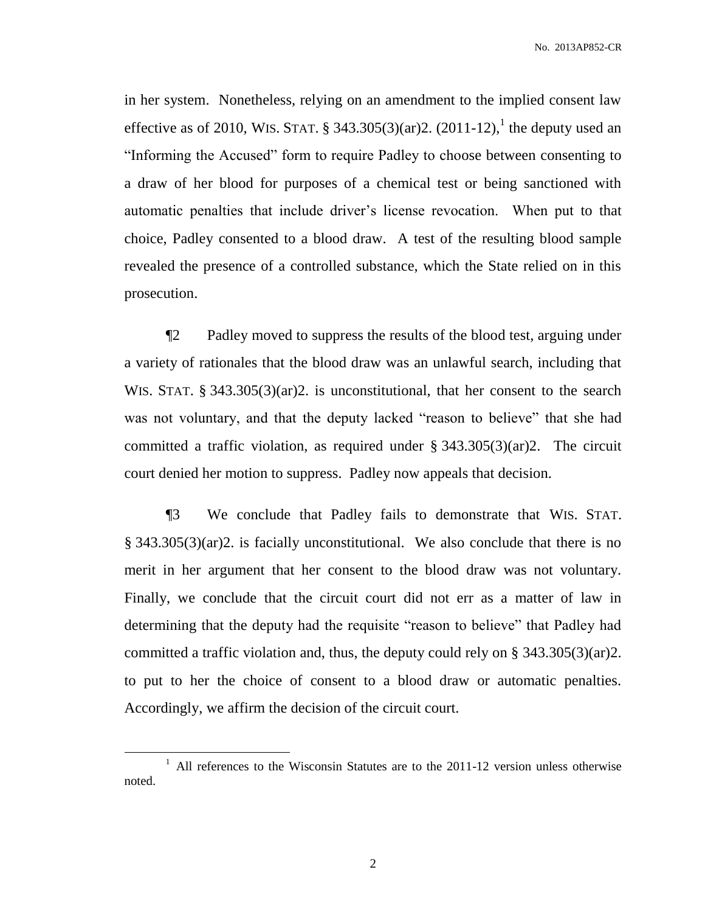No. 2013AP852-CR

in her system. Nonetheless, relying on an amendment to the implied consent law effective as of 2010, WIS. STAT. § 343.305(3)(ar)2.  $(2011-12)$ , the deputy used an "Informing the Accused" form to require Padley to choose between consenting to a draw of her blood for purposes of a chemical test or being sanctioned with automatic penalties that include driver's license revocation. When put to that choice, Padley consented to a blood draw. A test of the resulting blood sample revealed the presence of a controlled substance, which the State relied on in this prosecution.

¶2 Padley moved to suppress the results of the blood test, arguing under a variety of rationales that the blood draw was an unlawful search, including that WIS. STAT. § 343.305(3)(ar)2. is unconstitutional, that her consent to the search was not voluntary, and that the deputy lacked "reason to believe" that she had committed a traffic violation, as required under  $\S$  343.305(3)(ar)2. The circuit court denied her motion to suppress. Padley now appeals that decision.

¶3 We conclude that Padley fails to demonstrate that WIS. STAT. § 343.305(3)(ar)2. is facially unconstitutional. We also conclude that there is no merit in her argument that her consent to the blood draw was not voluntary. Finally, we conclude that the circuit court did not err as a matter of law in determining that the deputy had the requisite "reason to believe" that Padley had committed a traffic violation and, thus, the deputy could rely on § 343.305(3)(ar)2. to put to her the choice of consent to a blood draw or automatic penalties. Accordingly, we affirm the decision of the circuit court.

 $\overline{a}$ 

<sup>&</sup>lt;sup>1</sup> All references to the Wisconsin Statutes are to the 2011-12 version unless otherwise noted.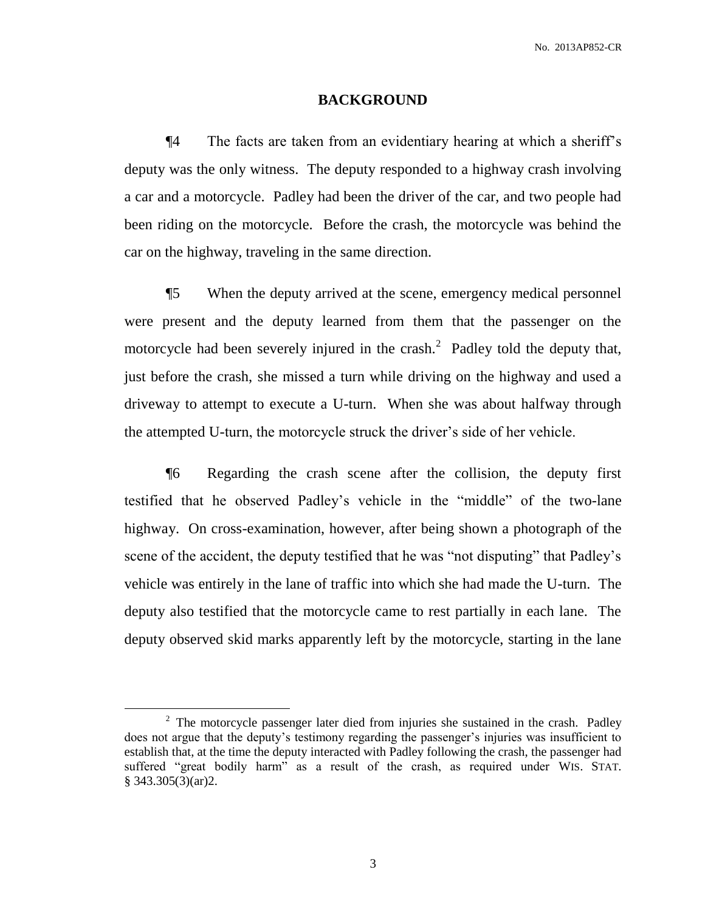#### **BACKGROUND**

¶4 The facts are taken from an evidentiary hearing at which a sheriff's deputy was the only witness. The deputy responded to a highway crash involving a car and a motorcycle. Padley had been the driver of the car, and two people had been riding on the motorcycle. Before the crash, the motorcycle was behind the car on the highway, traveling in the same direction.

¶5 When the deputy arrived at the scene, emergency medical personnel were present and the deputy learned from them that the passenger on the motorcycle had been severely injured in the crash.<sup>2</sup> Padley told the deputy that, just before the crash, she missed a turn while driving on the highway and used a driveway to attempt to execute a U-turn. When she was about halfway through the attempted U-turn, the motorcycle struck the driver's side of her vehicle.

¶6 Regarding the crash scene after the collision, the deputy first testified that he observed Padley's vehicle in the "middle" of the two-lane highway. On cross-examination, however, after being shown a photograph of the scene of the accident, the deputy testified that he was "not disputing" that Padley's vehicle was entirely in the lane of traffic into which she had made the U-turn. The deputy also testified that the motorcycle came to rest partially in each lane. The deputy observed skid marks apparently left by the motorcycle, starting in the lane

 $\overline{a}$ 

 $2$  The motorcycle passenger later died from injuries she sustained in the crash. Padley does not argue that the deputy's testimony regarding the passenger's injuries was insufficient to establish that, at the time the deputy interacted with Padley following the crash, the passenger had suffered "great bodily harm" as a result of the crash, as required under WIS. STAT. § 343.305(3)(ar)2.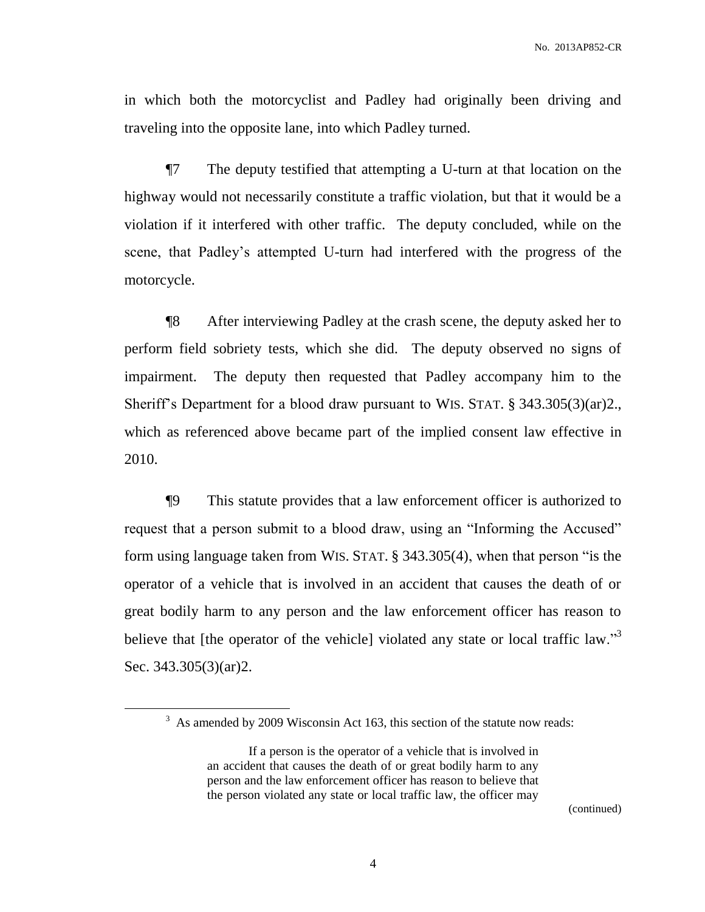in which both the motorcyclist and Padley had originally been driving and traveling into the opposite lane, into which Padley turned.

¶7 The deputy testified that attempting a U-turn at that location on the highway would not necessarily constitute a traffic violation, but that it would be a violation if it interfered with other traffic. The deputy concluded, while on the scene, that Padley's attempted U-turn had interfered with the progress of the motorcycle.

¶8 After interviewing Padley at the crash scene, the deputy asked her to perform field sobriety tests, which she did. The deputy observed no signs of impairment. The deputy then requested that Padley accompany him to the Sheriff's Department for a blood draw pursuant to WIS. STAT. § 343.305(3)(ar)2., which as referenced above became part of the implied consent law effective in 2010.

¶9 This statute provides that a law enforcement officer is authorized to request that a person submit to a blood draw, using an "Informing the Accused" form using language taken from WIS. STAT. § 343.305(4), when that person "is the operator of a vehicle that is involved in an accident that causes the death of or great bodily harm to any person and the law enforcement officer has reason to believe that [the operator of the vehicle] violated any state or local traffic law."<sup>3</sup> Sec. 343.305(3)(ar)2.

 $\overline{a}$ 

(continued)

 $3$  As amended by 2009 Wisconsin Act 163, this section of the statute now reads:

If a person is the operator of a vehicle that is involved in an accident that causes the death of or great bodily harm to any person and the law enforcement officer has reason to believe that the person violated any state or local traffic law, the officer may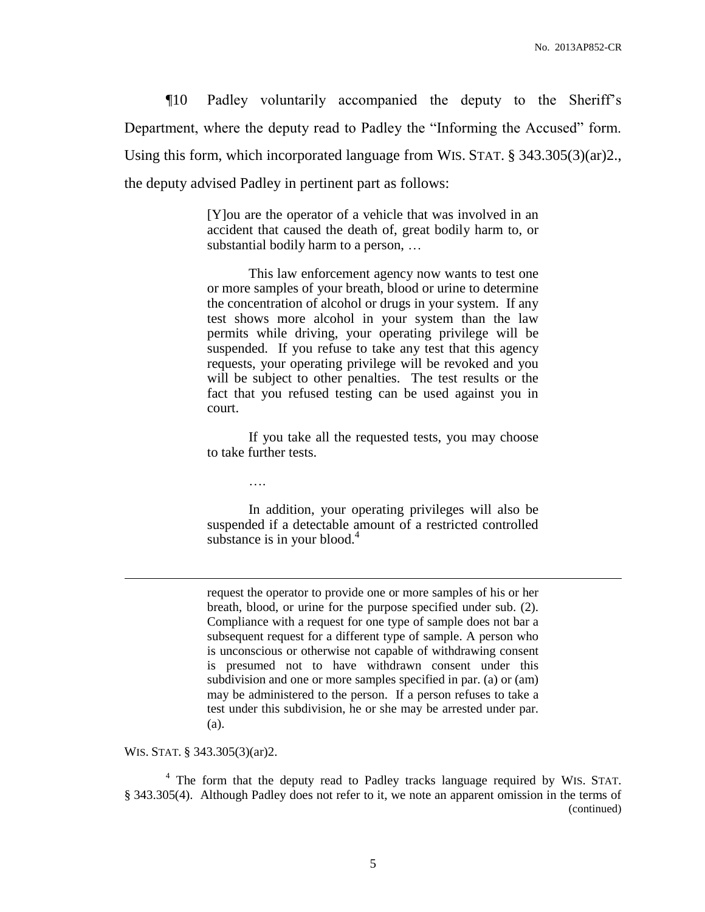¶10 Padley voluntarily accompanied the deputy to the Sheriff's Department, where the deputy read to Padley the "Informing the Accused" form. Using this form, which incorporated language from WIS. STAT. § 343.305(3)(ar)2., the deputy advised Padley in pertinent part as follows:

> [Y]ou are the operator of a vehicle that was involved in an accident that caused the death of, great bodily harm to, or substantial bodily harm to a person, …

> This law enforcement agency now wants to test one or more samples of your breath, blood or urine to determine the concentration of alcohol or drugs in your system. If any test shows more alcohol in your system than the law permits while driving, your operating privilege will be suspended. If you refuse to take any test that this agency requests, your operating privilege will be revoked and you will be subject to other penalties. The test results or the fact that you refused testing can be used against you in court.

> If you take all the requested tests, you may choose to take further tests.

> In addition, your operating privileges will also be suspended if a detectable amount of a restricted controlled substance is in your blood. $4$

> request the operator to provide one or more samples of his or her breath, blood, or urine for the purpose specified under sub. (2). Compliance with a request for one type of sample does not bar a subsequent request for a different type of sample. A person who is unconscious or otherwise not capable of withdrawing consent is presumed not to have withdrawn consent under this subdivision and one or more samples specified in par. (a) or (am) may be administered to the person. If a person refuses to take a test under this subdivision, he or she may be arrested under par. (a).

WIS. STAT. § 343.305(3)(ar)2.

 $\overline{a}$ 

….

<sup>4</sup> The form that the deputy read to Padley tracks language required by WIS. STAT. § 343.305(4). Although Padley does not refer to it, we note an apparent omission in the terms of (continued)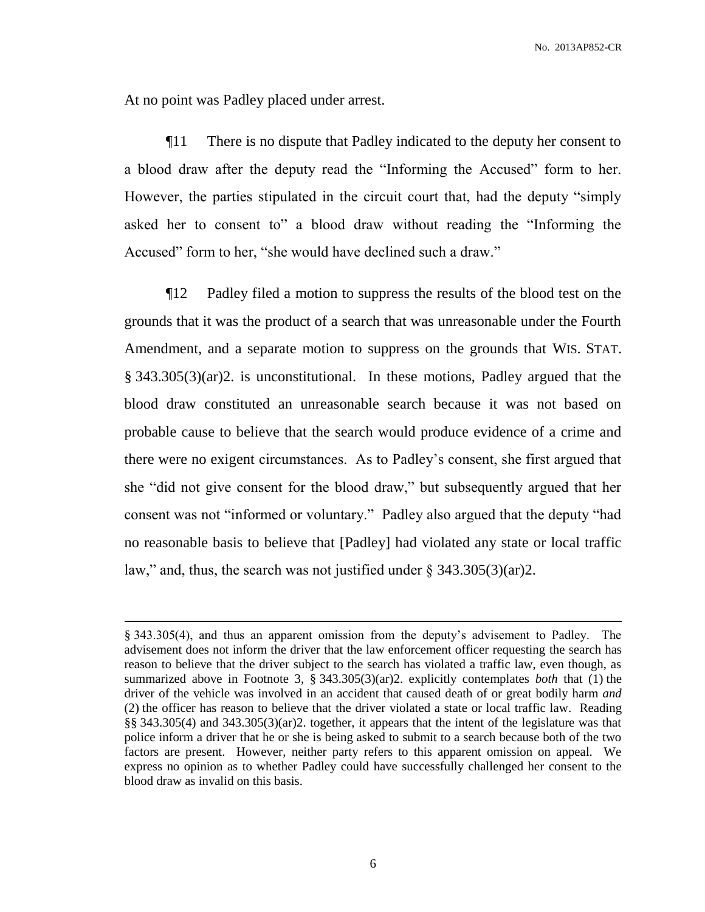At no point was Padley placed under arrest.

 $\overline{a}$ 

¶11 There is no dispute that Padley indicated to the deputy her consent to a blood draw after the deputy read the "Informing the Accused" form to her. However, the parties stipulated in the circuit court that, had the deputy "simply asked her to consent to" a blood draw without reading the "Informing the Accused" form to her, "she would have declined such a draw."

¶12 Padley filed a motion to suppress the results of the blood test on the grounds that it was the product of a search that was unreasonable under the Fourth Amendment, and a separate motion to suppress on the grounds that WIS. STAT. § 343.305(3)(ar)2. is unconstitutional. In these motions, Padley argued that the blood draw constituted an unreasonable search because it was not based on probable cause to believe that the search would produce evidence of a crime and there were no exigent circumstances. As to Padley's consent, she first argued that she "did not give consent for the blood draw," but subsequently argued that her consent was not "informed or voluntary." Padley also argued that the deputy "had no reasonable basis to believe that [Padley] had violated any state or local traffic law," and, thus, the search was not justified under  $\S 343.305(3)(ar)2$ .

<sup>§</sup> 343.305(4), and thus an apparent omission from the deputy's advisement to Padley. The advisement does not inform the driver that the law enforcement officer requesting the search has reason to believe that the driver subject to the search has violated a traffic law, even though, as summarized above in Footnote 3, § 343.305(3)(ar)2. explicitly contemplates *both* that (1) the driver of the vehicle was involved in an accident that caused death of or great bodily harm *and* (2) the officer has reason to believe that the driver violated a state or local traffic law. Reading §§ 343.305(4) and 343.305(3)(ar)2. together, it appears that the intent of the legislature was that police inform a driver that he or she is being asked to submit to a search because both of the two factors are present. However, neither party refers to this apparent omission on appeal. We express no opinion as to whether Padley could have successfully challenged her consent to the blood draw as invalid on this basis.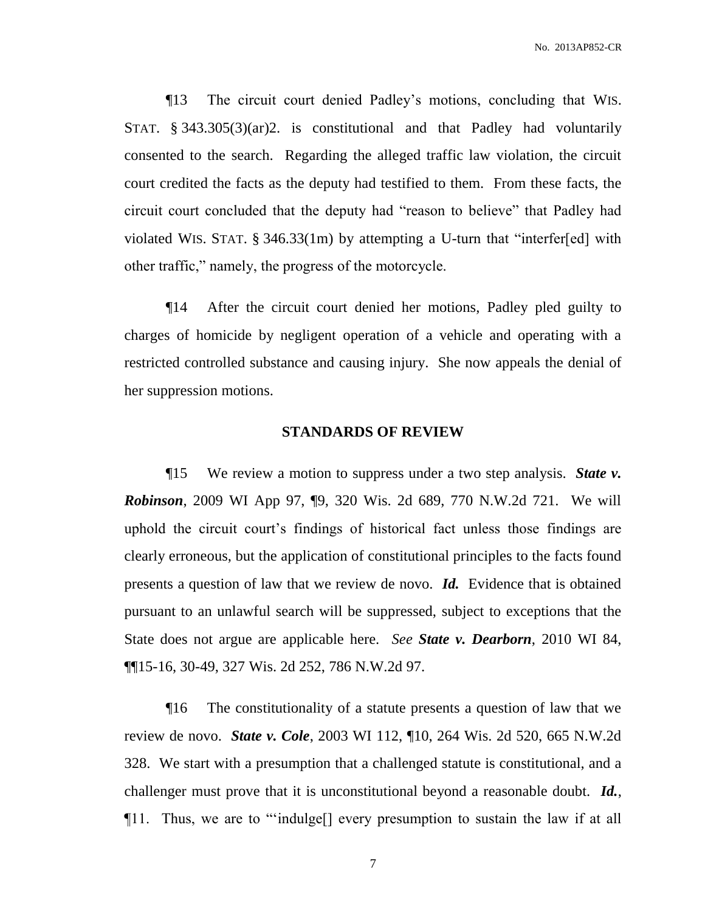¶13 The circuit court denied Padley's motions, concluding that WIS. STAT. § 343.305(3)(ar)2. is constitutional and that Padley had voluntarily consented to the search. Regarding the alleged traffic law violation, the circuit court credited the facts as the deputy had testified to them. From these facts, the circuit court concluded that the deputy had "reason to believe" that Padley had violated WIS. STAT. § 346.33(1m) by attempting a U-turn that "interfer[ed] with other traffic," namely, the progress of the motorcycle.

¶14 After the circuit court denied her motions, Padley pled guilty to charges of homicide by negligent operation of a vehicle and operating with a restricted controlled substance and causing injury. She now appeals the denial of her suppression motions.

#### **STANDARDS OF REVIEW**

¶15 We review a motion to suppress under a two step analysis. *State v. Robinson*, 2009 WI App 97, ¶9, 320 Wis. 2d 689, 770 N.W.2d 721. We will uphold the circuit court's findings of historical fact unless those findings are clearly erroneous, but the application of constitutional principles to the facts found presents a question of law that we review de novo. *Id.* Evidence that is obtained pursuant to an unlawful search will be suppressed, subject to exceptions that the State does not argue are applicable here. *See State v. Dearborn*, 2010 WI 84, ¶¶15-16, 30-49, 327 Wis. 2d 252, 786 N.W.2d 97.

¶16 The constitutionality of a statute presents a question of law that we review de novo. *State v. Cole*, 2003 WI 112, ¶10, 264 Wis. 2d 520, 665 N.W.2d 328. We start with a presumption that a challenged statute is constitutional, and a challenger must prove that it is unconstitutional beyond a reasonable doubt. *Id.*, ¶11. Thus, we are to "'indulge[] every presumption to sustain the law if at all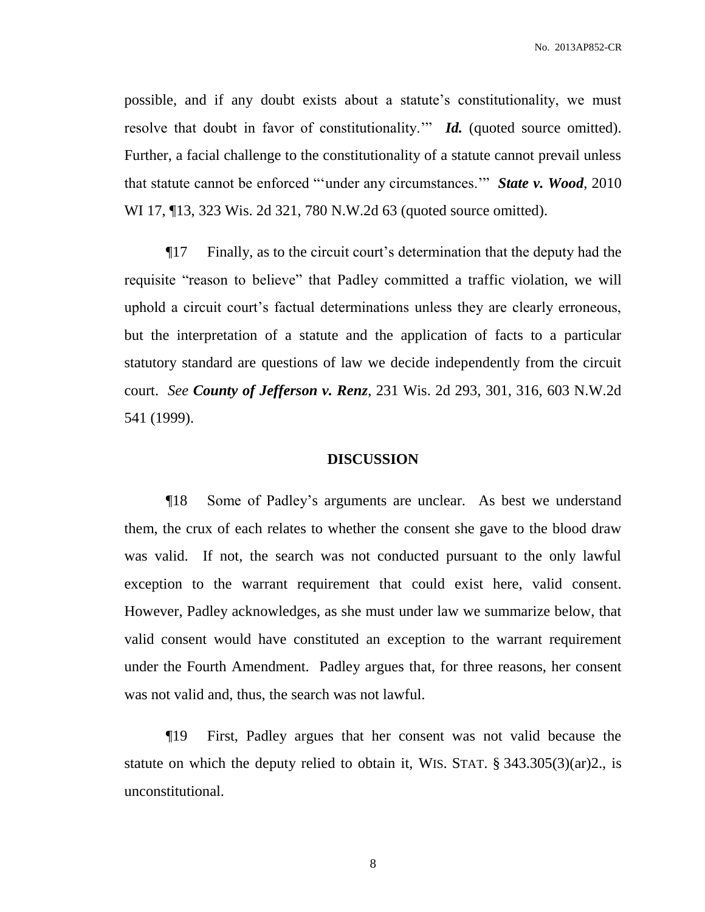possible, and if any doubt exists about a statute's constitutionality, we must resolve that doubt in favor of constitutionality." *Id.* (quoted source omitted). Further, a facial challenge to the constitutionality of a statute cannot prevail unless that statute cannot be enforced "'under any circumstances.'" *State v. Wood*, 2010 WI 17, ¶13, 323 Wis. 2d 321, 780 N.W.2d 63 (quoted source omitted).

¶17 Finally, as to the circuit court's determination that the deputy had the requisite "reason to believe" that Padley committed a traffic violation, we will uphold a circuit court's factual determinations unless they are clearly erroneous, but the interpretation of a statute and the application of facts to a particular statutory standard are questions of law we decide independently from the circuit court. *See County of Jefferson v. Renz*, 231 Wis. 2d 293, 301, 316, 603 N.W.2d 541 (1999).

#### **DISCUSSION**

¶18 Some of Padley's arguments are unclear. As best we understand them, the crux of each relates to whether the consent she gave to the blood draw was valid. If not, the search was not conducted pursuant to the only lawful exception to the warrant requirement that could exist here, valid consent. However, Padley acknowledges, as she must under law we summarize below, that valid consent would have constituted an exception to the warrant requirement under the Fourth Amendment. Padley argues that, for three reasons, her consent was not valid and, thus, the search was not lawful.

¶19 First, Padley argues that her consent was not valid because the statute on which the deputy relied to obtain it, WIS. STAT. § 343.305(3)(ar)2., is unconstitutional.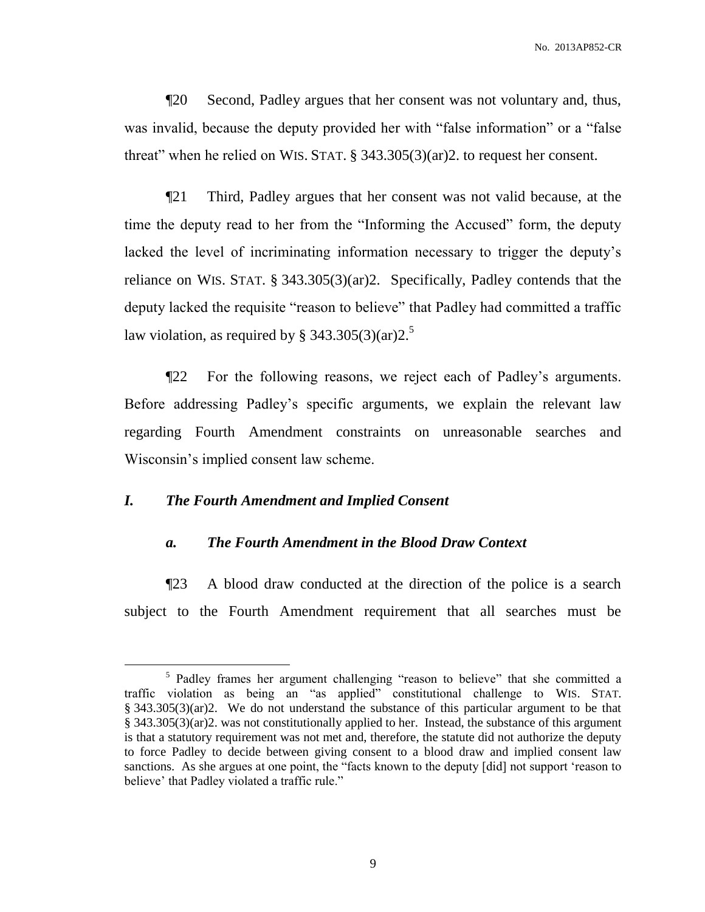¶20 Second, Padley argues that her consent was not voluntary and, thus, was invalid, because the deputy provided her with "false information" or a "false threat" when he relied on WIS. STAT. § 343.305(3)(ar)2. to request her consent.

¶21 Third, Padley argues that her consent was not valid because, at the time the deputy read to her from the "Informing the Accused" form, the deputy lacked the level of incriminating information necessary to trigger the deputy's reliance on WIS. STAT. § 343.305(3)(ar)2. Specifically, Padley contends that the deputy lacked the requisite "reason to believe" that Padley had committed a traffic law violation, as required by § 343.305(3)(ar) $2^5$ .

¶22 For the following reasons, we reject each of Padley's arguments. Before addressing Padley's specific arguments, we explain the relevant law regarding Fourth Amendment constraints on unreasonable searches and Wisconsin's implied consent law scheme.

# *I. The Fourth Amendment and Implied Consent*

 $\overline{a}$ 

### *a. The Fourth Amendment in the Blood Draw Context*

¶23 A blood draw conducted at the direction of the police is a search subject to the Fourth Amendment requirement that all searches must be

<sup>&</sup>lt;sup>5</sup> Padley frames her argument challenging "reason to believe" that she committed a traffic violation as being an "as applied" constitutional challenge to WIS. STAT. § 343.305(3)(ar)2. We do not understand the substance of this particular argument to be that § 343.305(3)(ar)2. was not constitutionally applied to her. Instead, the substance of this argument is that a statutory requirement was not met and, therefore, the statute did not authorize the deputy to force Padley to decide between giving consent to a blood draw and implied consent law sanctions. As she argues at one point, the "facts known to the deputy [did] not support 'reason to believe' that Padley violated a traffic rule."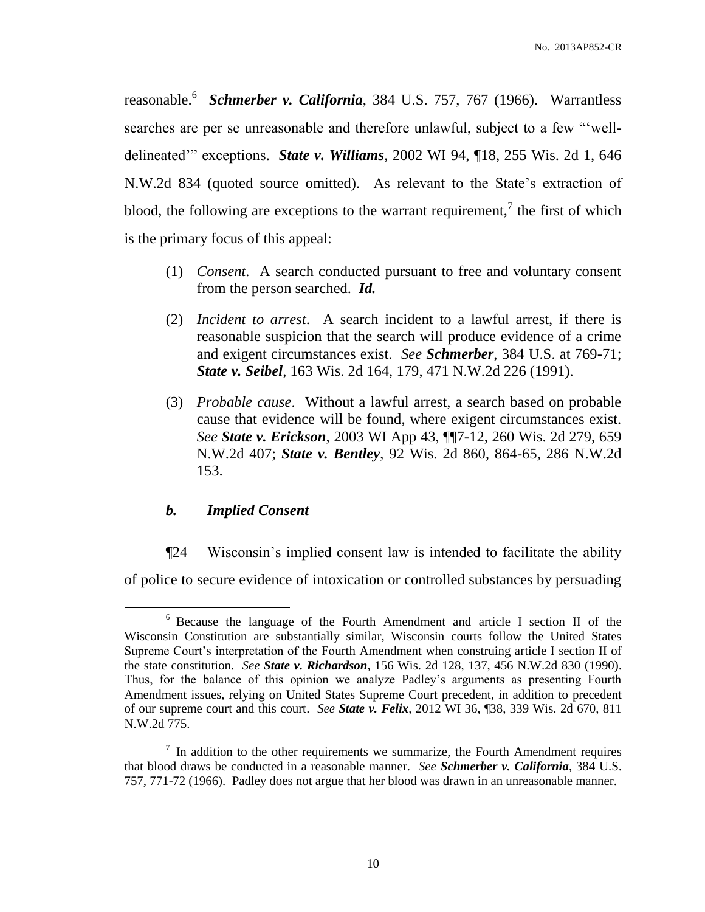reasonable.<sup>6</sup> *Schmerber v. California*, 384 U.S. 757, 767 (1966). Warrantless searches are per se unreasonable and therefore unlawful, subject to a few "'welldelineated'" exceptions. *State v. Williams*, 2002 WI 94, ¶18, 255 Wis. 2d 1, 646 N.W.2d 834 (quoted source omitted). As relevant to the State's extraction of blood, the following are exceptions to the warrant requirement,<sup>7</sup> the first of which is the primary focus of this appeal:

- (1) *Consent*. A search conducted pursuant to free and voluntary consent from the person searched. *Id.*
- (2) *Incident to arrest*. A search incident to a lawful arrest, if there is reasonable suspicion that the search will produce evidence of a crime and exigent circumstances exist. *See Schmerber*, 384 U.S. at 769-71; *State v. Seibel*, 163 Wis. 2d 164, 179, 471 N.W.2d 226 (1991).
- (3) *Probable cause*. Without a lawful arrest, a search based on probable cause that evidence will be found, where exigent circumstances exist. *See State v. Erickson*, 2003 WI App 43, ¶¶7-12, 260 Wis. 2d 279, 659 N.W.2d 407; *State v. Bentley*, 92 Wis. 2d 860, 864-65, 286 N.W.2d 153.

# *b. Implied Consent*

 $\overline{a}$ 

¶24 Wisconsin's implied consent law is intended to facilitate the ability of police to secure evidence of intoxication or controlled substances by persuading

<sup>6</sup> Because the language of the Fourth Amendment and article I section II of the Wisconsin Constitution are substantially similar, Wisconsin courts follow the United States Supreme Court's interpretation of the Fourth Amendment when construing article I section II of the state constitution. *See State v. Richardson*, 156 Wis. 2d 128, 137, 456 N.W.2d 830 (1990). Thus, for the balance of this opinion we analyze Padley's arguments as presenting Fourth Amendment issues, relying on United States Supreme Court precedent, in addition to precedent of our supreme court and this court. *See State v. Felix*, 2012 WI 36, ¶38, 339 Wis. 2d 670, 811 N.W.2d 775.

 $<sup>7</sup>$  In addition to the other requirements we summarize, the Fourth Amendment requires</sup> that blood draws be conducted in a reasonable manner. *See Schmerber v. California*, 384 U.S. 757, 771-72 (1966). Padley does not argue that her blood was drawn in an unreasonable manner.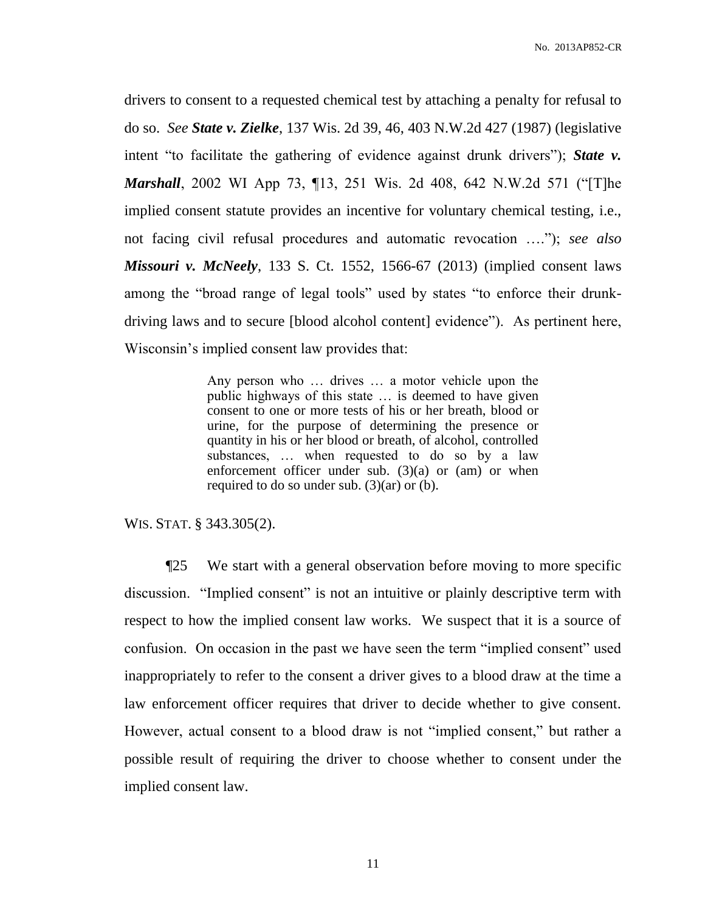drivers to consent to a requested chemical test by attaching a penalty for refusal to do so. *See State v. Zielke*, 137 Wis. 2d 39, 46, 403 N.W.2d 427 (1987) (legislative intent "to facilitate the gathering of evidence against drunk drivers"); *State v. Marshall*, 2002 WI App 73, ¶13, 251 Wis. 2d 408, 642 N.W.2d 571 ("[T]he implied consent statute provides an incentive for voluntary chemical testing, i.e., not facing civil refusal procedures and automatic revocation …."); *see also Missouri v. McNeely*, 133 S. Ct. 1552, 1566-67 (2013) (implied consent laws among the "broad range of legal tools" used by states "to enforce their drunkdriving laws and to secure [blood alcohol content] evidence"). As pertinent here, Wisconsin's implied consent law provides that:

> Any person who … drives … a motor vehicle upon the public highways of this state … is deemed to have given consent to one or more tests of his or her breath, blood or urine, for the purpose of determining the presence or quantity in his or her blood or breath, of alcohol, controlled substances, … when requested to do so by a law enforcement officer under sub.  $(3)(a)$  or  $(am)$  or when required to do so under sub. (3)(ar) or (b).

WIS. STAT. § 343.305(2).

¶25 We start with a general observation before moving to more specific discussion. "Implied consent" is not an intuitive or plainly descriptive term with respect to how the implied consent law works. We suspect that it is a source of confusion. On occasion in the past we have seen the term "implied consent" used inappropriately to refer to the consent a driver gives to a blood draw at the time a law enforcement officer requires that driver to decide whether to give consent. However, actual consent to a blood draw is not "implied consent," but rather a possible result of requiring the driver to choose whether to consent under the implied consent law.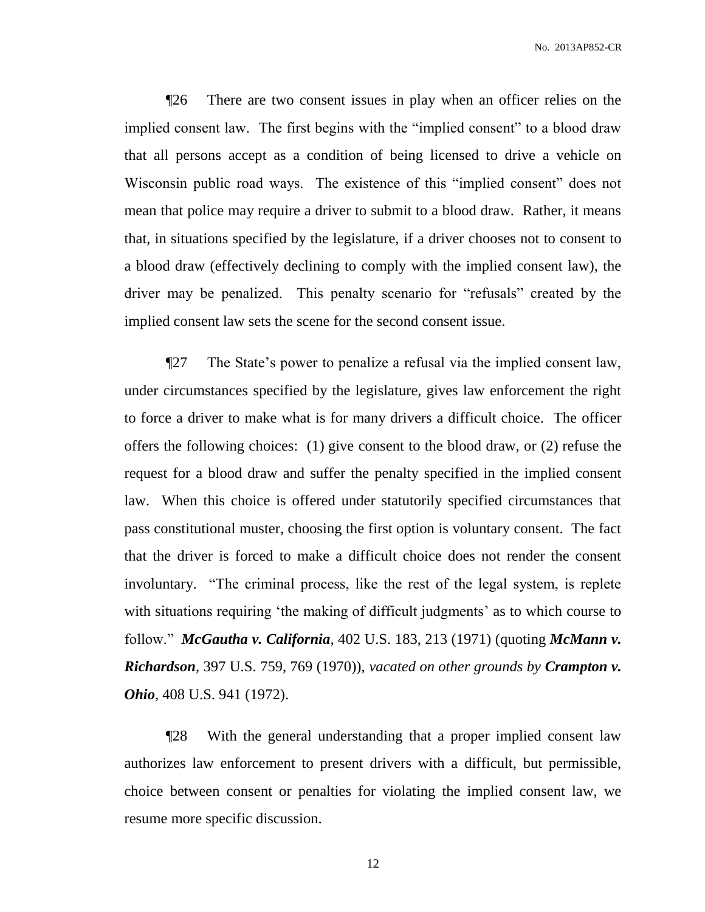No. 2013AP852-CR

¶26 There are two consent issues in play when an officer relies on the implied consent law. The first begins with the "implied consent" to a blood draw that all persons accept as a condition of being licensed to drive a vehicle on Wisconsin public road ways. The existence of this "implied consent" does not mean that police may require a driver to submit to a blood draw. Rather, it means that, in situations specified by the legislature, if a driver chooses not to consent to a blood draw (effectively declining to comply with the implied consent law), the driver may be penalized. This penalty scenario for "refusals" created by the implied consent law sets the scene for the second consent issue.

¶27 The State's power to penalize a refusal via the implied consent law, under circumstances specified by the legislature, gives law enforcement the right to force a driver to make what is for many drivers a difficult choice. The officer offers the following choices: (1) give consent to the blood draw, or (2) refuse the request for a blood draw and suffer the penalty specified in the implied consent law. When this choice is offered under statutorily specified circumstances that pass constitutional muster, choosing the first option is voluntary consent. The fact that the driver is forced to make a difficult choice does not render the consent involuntary. "The criminal process, like the rest of the legal system, is replete with situations requiring 'the making of difficult judgments' as to which course to follow." *McGautha v. California*, 402 U.S. 183, 213 (1971) (quoting *McMann v. Richardson*, 397 U.S. 759, 769 (1970)), *vacated on other grounds by Crampton v. Ohio*, 408 U.S. 941 (1972).

¶28 With the general understanding that a proper implied consent law authorizes law enforcement to present drivers with a difficult, but permissible, choice between consent or penalties for violating the implied consent law, we resume more specific discussion.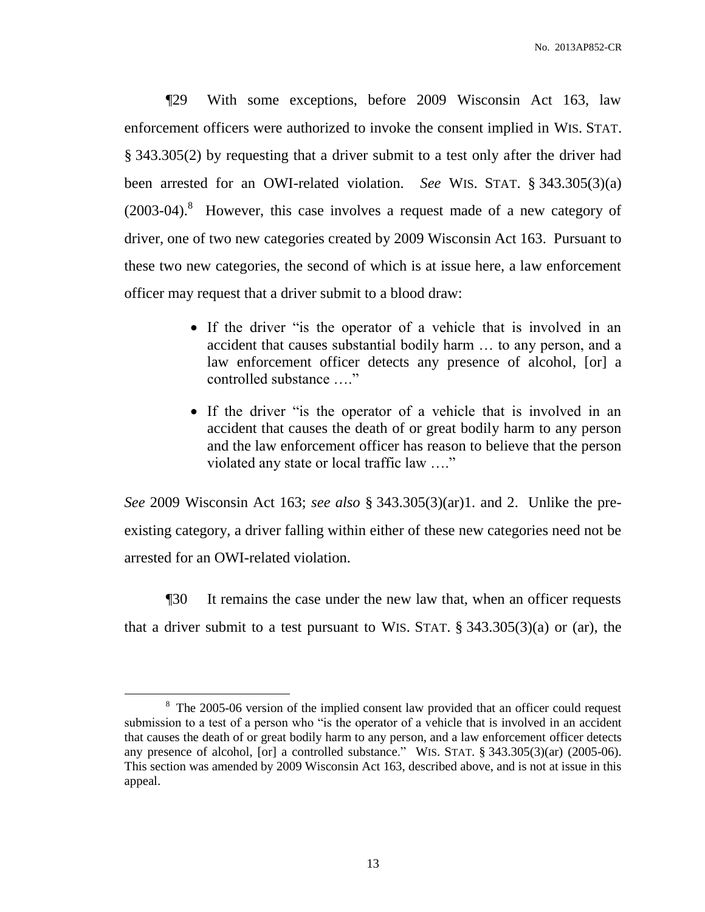¶29 With some exceptions, before 2009 Wisconsin Act 163, law enforcement officers were authorized to invoke the consent implied in WIS. STAT. § 343.305(2) by requesting that a driver submit to a test only after the driver had been arrested for an OWI-related violation. *See* WIS. STAT. § 343.305(3)(a)  $(2003-04).$ <sup>8</sup> However, this case involves a request made of a new category of driver, one of two new categories created by 2009 Wisconsin Act 163. Pursuant to these two new categories, the second of which is at issue here, a law enforcement officer may request that a driver submit to a blood draw:

- If the driver "is the operator of a vehicle that is involved in an accident that causes substantial bodily harm … to any person, and a law enforcement officer detects any presence of alcohol, [or] a controlled substance …."
- If the driver "is the operator of a vehicle that is involved in an accident that causes the death of or great bodily harm to any person and the law enforcement officer has reason to believe that the person violated any state or local traffic law …."

*See* 2009 Wisconsin Act 163; *see also* § 343.305(3)(ar)1. and 2. Unlike the preexisting category, a driver falling within either of these new categories need not be arrested for an OWI-related violation.

¶30 It remains the case under the new law that, when an officer requests that a driver submit to a test pursuant to WIS. STAT.  $\S$  343.305(3)(a) or (ar), the

 $\overline{a}$ 

 $8 \text{ The } 2005\text{-}06 \text{ version of the implied consent law provided that an officer could request.}$ submission to a test of a person who "is the operator of a vehicle that is involved in an accident that causes the death of or great bodily harm to any person, and a law enforcement officer detects any presence of alcohol,  $\lceil$  or  $\rceil$  a controlled substance." WIS. STAT. § 343.305(3)(ar) (2005-06). This section was amended by 2009 Wisconsin Act 163, described above, and is not at issue in this appeal.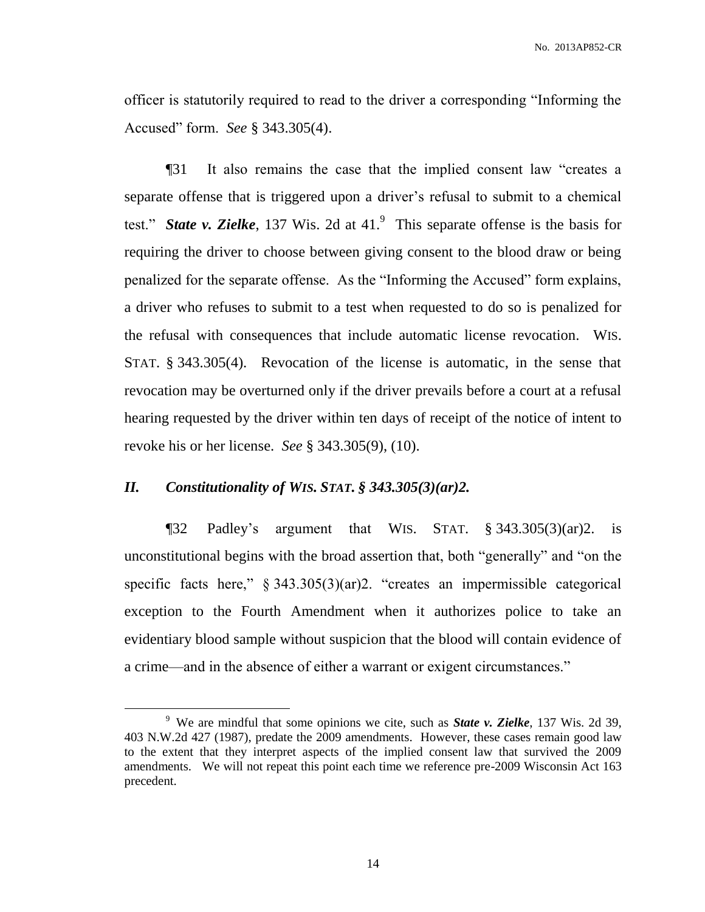officer is statutorily required to read to the driver a corresponding "Informing the Accused" form. *See* § 343.305(4).

¶31 It also remains the case that the implied consent law "creates a separate offense that is triggered upon a driver's refusal to submit to a chemical test." *State v. Zielke*, 137 Wis. 2d at 41. 9 This separate offense is the basis for requiring the driver to choose between giving consent to the blood draw or being penalized for the separate offense. As the "Informing the Accused" form explains, a driver who refuses to submit to a test when requested to do so is penalized for the refusal with consequences that include automatic license revocation. WIS. STAT. § 343.305(4). Revocation of the license is automatic, in the sense that revocation may be overturned only if the driver prevails before a court at a refusal hearing requested by the driver within ten days of receipt of the notice of intent to revoke his or her license. *See* § 343.305(9), (10).

## *II. Constitutionality of WIS. STAT. § 343.305(3)(ar)2.*

 $\overline{a}$ 

¶32 Padley's argument that WIS. STAT. § 343.305(3)(ar)2. is unconstitutional begins with the broad assertion that, both "generally" and "on the specific facts here,"  $\S 343.305(3)(ar)2$ . "creates an impermissible categorical exception to the Fourth Amendment when it authorizes police to take an evidentiary blood sample without suspicion that the blood will contain evidence of a crime—and in the absence of either a warrant or exigent circumstances."

<sup>9</sup> We are mindful that some opinions we cite, such as *State v. Zielke*, 137 Wis. 2d 39, 403 N.W.2d 427 (1987), predate the 2009 amendments. However, these cases remain good law to the extent that they interpret aspects of the implied consent law that survived the 2009 amendments. We will not repeat this point each time we reference pre-2009 Wisconsin Act 163 precedent.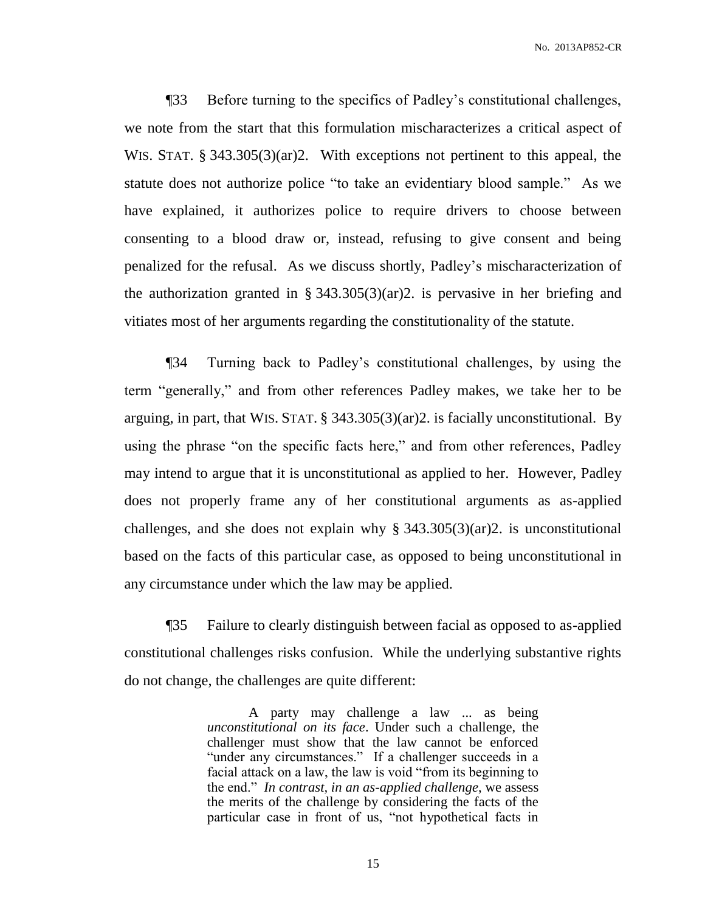No. 2013AP852-CR

¶33 Before turning to the specifics of Padley's constitutional challenges, we note from the start that this formulation mischaracterizes a critical aspect of WIS. STAT. § 343.305(3)(ar)2. With exceptions not pertinent to this appeal, the statute does not authorize police "to take an evidentiary blood sample." As we have explained, it authorizes police to require drivers to choose between consenting to a blood draw or, instead, refusing to give consent and being penalized for the refusal. As we discuss shortly, Padley's mischaracterization of the authorization granted in § 343.305(3)(ar)2. is pervasive in her briefing and vitiates most of her arguments regarding the constitutionality of the statute.

¶34 Turning back to Padley's constitutional challenges, by using the term "generally," and from other references Padley makes, we take her to be arguing, in part, that WIS. STAT. § 343.305(3)(ar)2. is facially unconstitutional. By using the phrase "on the specific facts here," and from other references, Padley may intend to argue that it is unconstitutional as applied to her. However, Padley does not properly frame any of her constitutional arguments as as-applied challenges, and she does not explain why  $\S 343.305(3)(ar)2$ . is unconstitutional based on the facts of this particular case, as opposed to being unconstitutional in any circumstance under which the law may be applied.

¶35 Failure to clearly distinguish between facial as opposed to as-applied constitutional challenges risks confusion. While the underlying substantive rights do not change, the challenges are quite different:

> A party may challenge a law ... as being *unconstitutional on its face*. Under such a challenge, the challenger must show that the law cannot be enforced "under any circumstances." If a challenger succeeds in a facial attack on a law, the law is void "from its beginning to the end." *In contrast, in an as-applied challenge*, we assess the merits of the challenge by considering the facts of the particular case in front of us, "not hypothetical facts in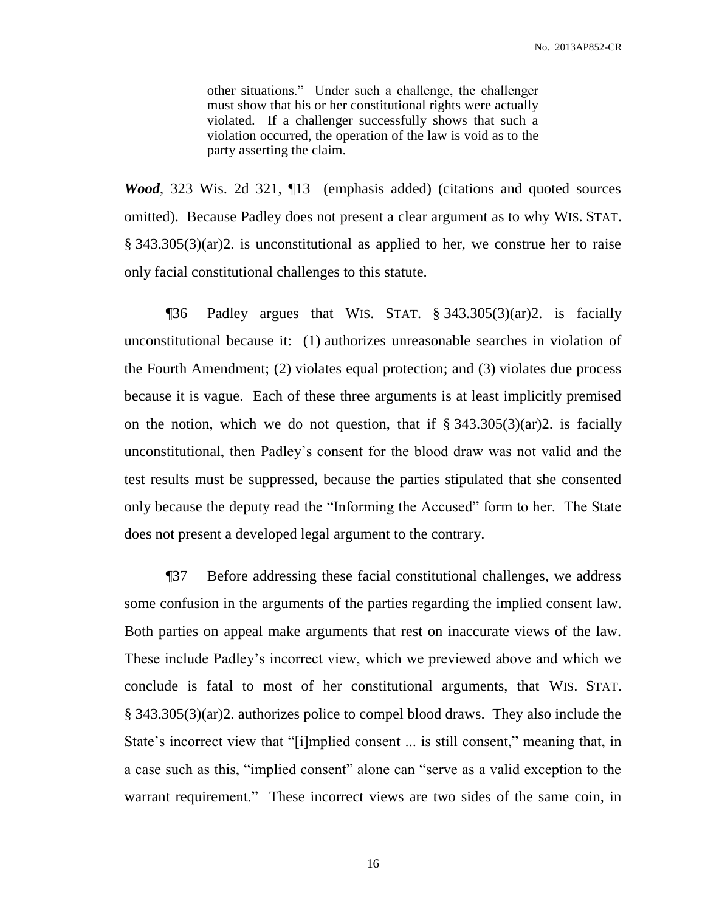other situations." Under such a challenge, the challenger must show that his or her constitutional rights were actually violated. If a challenger successfully shows that such a violation occurred, the operation of the law is void as to the party asserting the claim.

*Wood*, 323 Wis. 2d 321, ¶13 (emphasis added) (citations and quoted sources omitted). Because Padley does not present a clear argument as to why WIS. STAT. § 343.305(3)(ar)2. is unconstitutional as applied to her, we construe her to raise only facial constitutional challenges to this statute.

¶36 Padley argues that WIS. STAT. § 343.305(3)(ar)2. is facially unconstitutional because it: (1) authorizes unreasonable searches in violation of the Fourth Amendment; (2) violates equal protection; and (3) violates due process because it is vague. Each of these three arguments is at least implicitly premised on the notion, which we do not question, that if  $\S$  343.305(3)(ar)2. is facially unconstitutional, then Padley's consent for the blood draw was not valid and the test results must be suppressed, because the parties stipulated that she consented only because the deputy read the "Informing the Accused" form to her. The State does not present a developed legal argument to the contrary.

¶37 Before addressing these facial constitutional challenges, we address some confusion in the arguments of the parties regarding the implied consent law. Both parties on appeal make arguments that rest on inaccurate views of the law. These include Padley's incorrect view, which we previewed above and which we conclude is fatal to most of her constitutional arguments, that WIS. STAT. § 343.305(3)(ar)2. authorizes police to compel blood draws. They also include the State's incorrect view that "[i]mplied consent ... is still consent," meaning that, in a case such as this, "implied consent" alone can "serve as a valid exception to the warrant requirement." These incorrect views are two sides of the same coin, in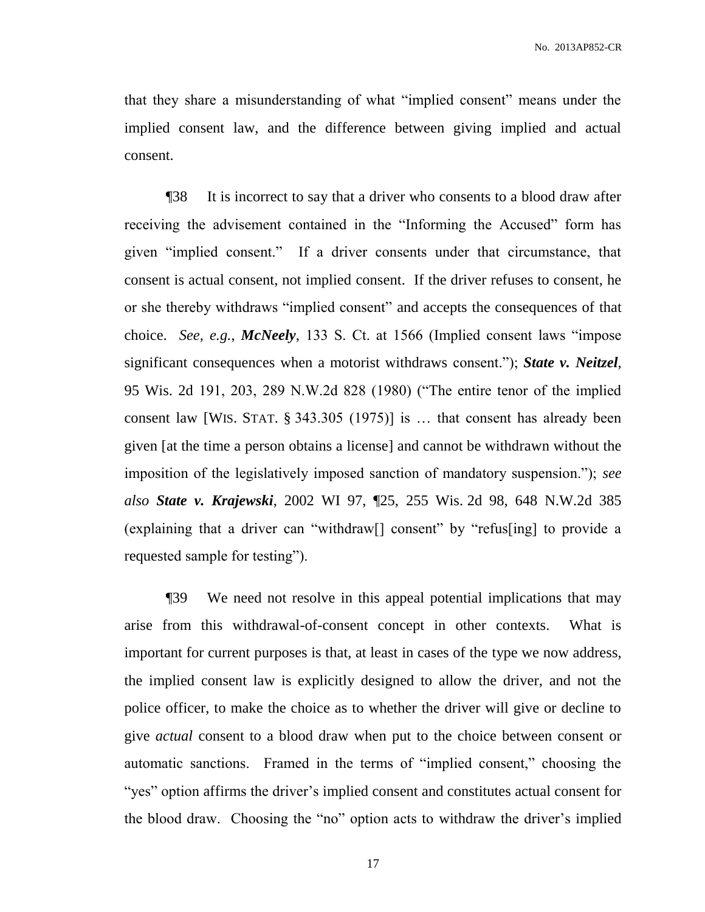that they share a misunderstanding of what "implied consent" means under the implied consent law, and the difference between giving implied and actual consent.

¶38 It is incorrect to say that a driver who consents to a blood draw after receiving the advisement contained in the "Informing the Accused" form has given "implied consent." If a driver consents under that circumstance, that consent is actual consent, not implied consent. If the driver refuses to consent, he or she thereby withdraws "implied consent" and accepts the consequences of that choice. *See, e.g.*, *McNeely*, 133 S. Ct. at 1566 (Implied consent laws "impose significant consequences when a motorist withdraws consent."); *State v. Neitzel*, 95 Wis. 2d 191, 203, 289 N.W.2d 828 (1980) ("The entire tenor of the implied consent law [WIS. STAT. § 343.305 (1975)] is … that consent has already been given [at the time a person obtains a license] and cannot be withdrawn without the imposition of the legislatively imposed sanction of mandatory suspension."); *see also State v. Krajewski*, 2002 WI 97, ¶25, 255 Wis. 2d 98, 648 N.W.2d 385 (explaining that a driver can "withdraw[] consent" by "refus[ing] to provide a requested sample for testing").

¶39 We need not resolve in this appeal potential implications that may arise from this withdrawal-of-consent concept in other contexts. What is important for current purposes is that, at least in cases of the type we now address, the implied consent law is explicitly designed to allow the driver, and not the police officer, to make the choice as to whether the driver will give or decline to give *actual* consent to a blood draw when put to the choice between consent or automatic sanctions. Framed in the terms of "implied consent," choosing the "yes" option affirms the driver's implied consent and constitutes actual consent for the blood draw. Choosing the "no" option acts to withdraw the driver's implied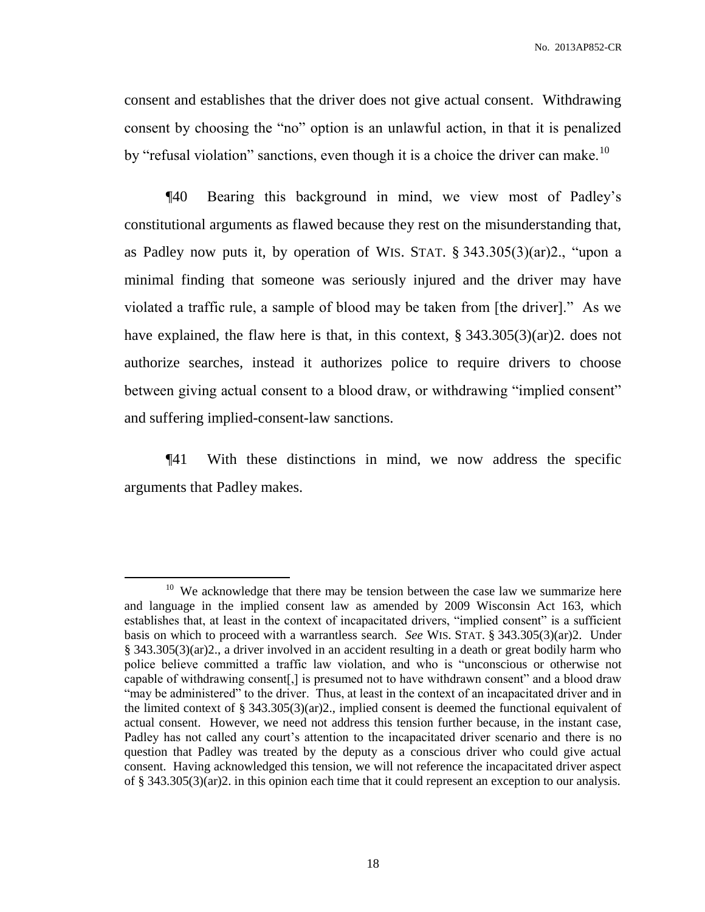consent and establishes that the driver does not give actual consent. Withdrawing consent by choosing the "no" option is an unlawful action, in that it is penalized by "refusal violation" sanctions, even though it is a choice the driver can make.<sup>10</sup>

¶40 Bearing this background in mind, we view most of Padley's constitutional arguments as flawed because they rest on the misunderstanding that, as Padley now puts it, by operation of WIS. STAT. § 343.305(3)(ar)2., "upon a minimal finding that someone was seriously injured and the driver may have violated a traffic rule, a sample of blood may be taken from [the driver]." As we have explained, the flaw here is that, in this context, § 343.305(3)(ar)2. does not authorize searches, instead it authorizes police to require drivers to choose between giving actual consent to a blood draw, or withdrawing "implied consent" and suffering implied-consent-law sanctions.

¶41 With these distinctions in mind, we now address the specific arguments that Padley makes.

 $\overline{a}$ 

 $10$  We acknowledge that there may be tension between the case law we summarize here and language in the implied consent law as amended by 2009 Wisconsin Act 163, which establishes that, at least in the context of incapacitated drivers, "implied consent" is a sufficient basis on which to proceed with a warrantless search. *See* WIS. STAT. § 343.305(3)(ar)2. Under § 343.305(3)(ar)2., a driver involved in an accident resulting in a death or great bodily harm who police believe committed a traffic law violation, and who is "unconscious or otherwise not capable of withdrawing consent[,] is presumed not to have withdrawn consent" and a blood draw "may be administered" to the driver. Thus, at least in the context of an incapacitated driver and in the limited context of  $\S$  343.305(3)(ar)2., implied consent is deemed the functional equivalent of actual consent. However, we need not address this tension further because, in the instant case, Padley has not called any court's attention to the incapacitated driver scenario and there is no question that Padley was treated by the deputy as a conscious driver who could give actual consent. Having acknowledged this tension, we will not reference the incapacitated driver aspect of § 343.305(3)(ar)2. in this opinion each time that it could represent an exception to our analysis.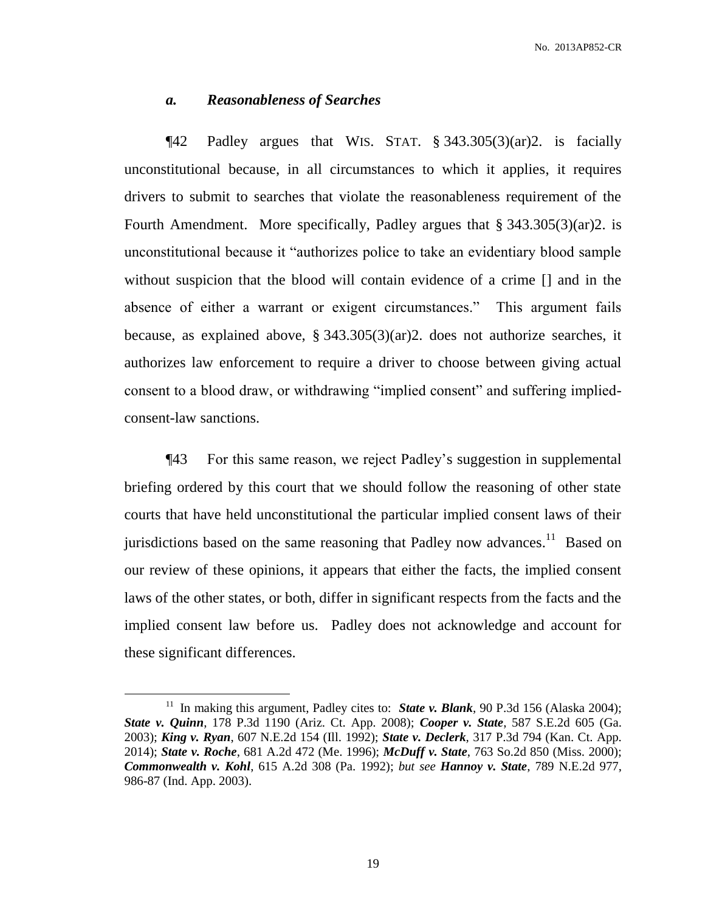#### *a. Reasonableness of Searches*

¶42 Padley argues that WIS. STAT. § 343.305(3)(ar)2. is facially unconstitutional because, in all circumstances to which it applies, it requires drivers to submit to searches that violate the reasonableness requirement of the Fourth Amendment. More specifically, Padley argues that § 343.305(3)(ar)2. is unconstitutional because it "authorizes police to take an evidentiary blood sample without suspicion that the blood will contain evidence of a crime [] and in the absence of either a warrant or exigent circumstances." This argument fails because, as explained above, § 343.305(3)(ar)2. does not authorize searches, it authorizes law enforcement to require a driver to choose between giving actual consent to a blood draw, or withdrawing "implied consent" and suffering impliedconsent-law sanctions.

¶43 For this same reason, we reject Padley's suggestion in supplemental briefing ordered by this court that we should follow the reasoning of other state courts that have held unconstitutional the particular implied consent laws of their jurisdictions based on the same reasoning that Padley now advances.<sup>11</sup> Based on our review of these opinions, it appears that either the facts, the implied consent laws of the other states, or both, differ in significant respects from the facts and the implied consent law before us. Padley does not acknowledge and account for these significant differences.

 $\overline{a}$ 

<sup>&</sup>lt;sup>11</sup> In making this argument, Padley cites to: **State v. Blank**, 90 P.3d 156 (Alaska 2004); *State v. Quinn*, 178 P.3d 1190 (Ariz. Ct. App. 2008); *Cooper v. State*, 587 S.E.2d 605 (Ga. 2003); *King v. Ryan*, 607 N.E.2d 154 (Ill. 1992); *State v. Declerk*, 317 P.3d 794 (Kan. Ct. App. 2014); *State v. Roche*, 681 A.2d 472 (Me. 1996); *McDuff v. State*, 763 So.2d 850 (Miss. 2000); *Commonwealth v. Kohl*, 615 A.2d 308 (Pa. 1992); *but see Hannoy v. State*, 789 N.E.2d 977, 986-87 (Ind. App. 2003).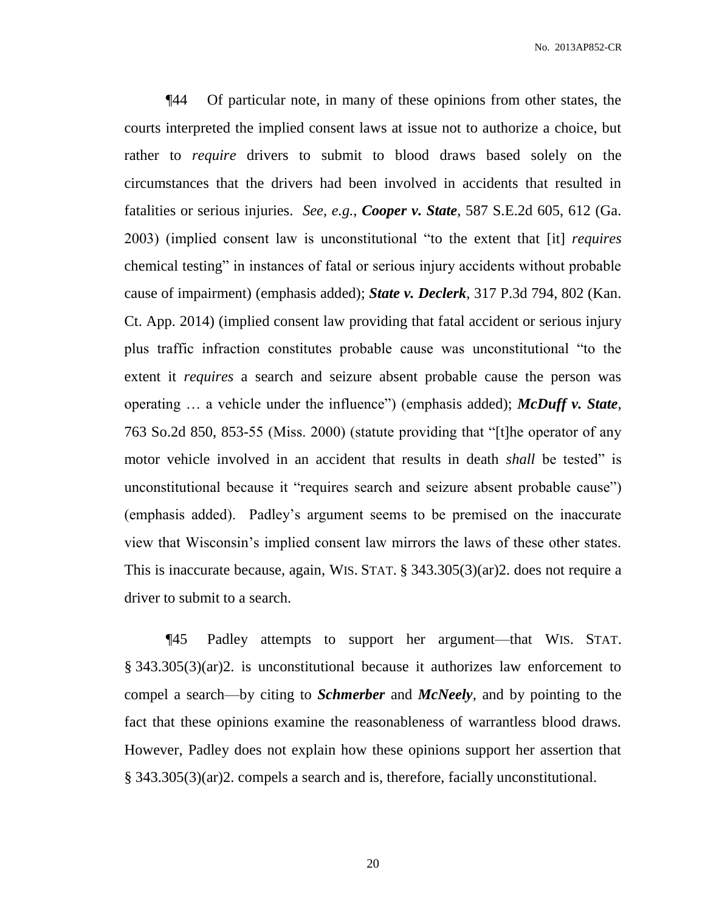No. 2013AP852-CR

¶44 Of particular note, in many of these opinions from other states, the courts interpreted the implied consent laws at issue not to authorize a choice, but rather to *require* drivers to submit to blood draws based solely on the circumstances that the drivers had been involved in accidents that resulted in fatalities or serious injuries. *See, e.g.*, *Cooper v. State*, 587 S.E.2d 605, 612 (Ga. 2003) (implied consent law is unconstitutional "to the extent that [it] *requires* chemical testing" in instances of fatal or serious injury accidents without probable cause of impairment) (emphasis added); *State v. Declerk*, 317 P.3d 794, 802 (Kan. Ct. App. 2014) (implied consent law providing that fatal accident or serious injury plus traffic infraction constitutes probable cause was unconstitutional "to the extent it *requires* a search and seizure absent probable cause the person was operating … a vehicle under the influence") (emphasis added); *McDuff v. State*, 763 So.2d 850, 853-55 (Miss. 2000) (statute providing that "[t]he operator of any motor vehicle involved in an accident that results in death *shall* be tested" is unconstitutional because it "requires search and seizure absent probable cause") (emphasis added). Padley's argument seems to be premised on the inaccurate view that Wisconsin's implied consent law mirrors the laws of these other states. This is inaccurate because, again, WIS. STAT. § 343.305(3)(ar)2. does not require a driver to submit to a search.

¶45 Padley attempts to support her argument—that WIS. STAT. § 343.305(3)(ar)2. is unconstitutional because it authorizes law enforcement to compel a search—by citing to *Schmerber* and *McNeely*, and by pointing to the fact that these opinions examine the reasonableness of warrantless blood draws. However, Padley does not explain how these opinions support her assertion that § 343.305(3)(ar)2. compels a search and is, therefore, facially unconstitutional.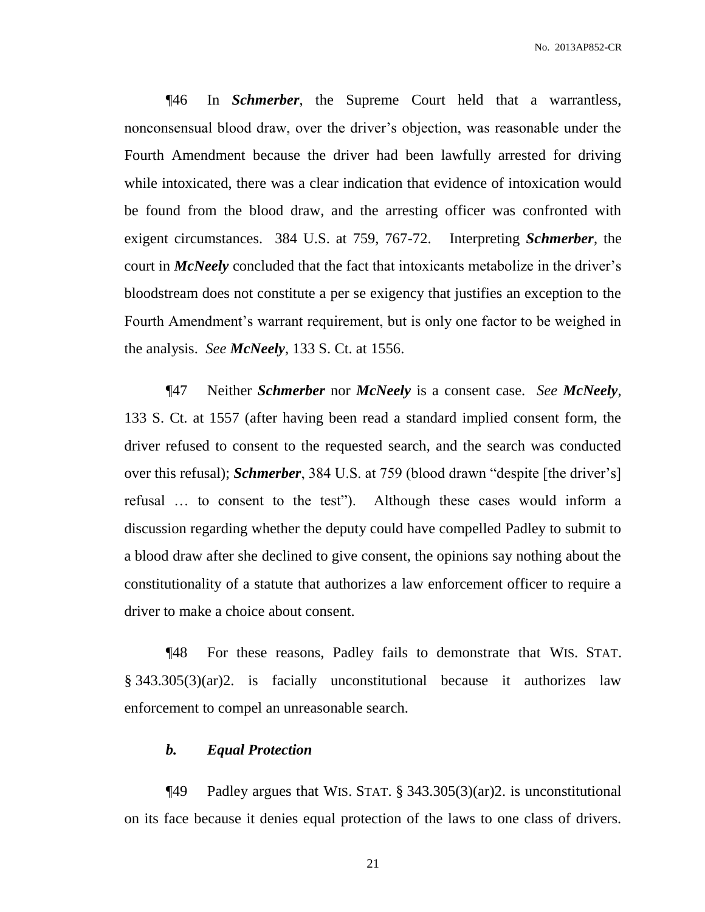¶46 In *Schmerber*, the Supreme Court held that a warrantless, nonconsensual blood draw, over the driver's objection, was reasonable under the Fourth Amendment because the driver had been lawfully arrested for driving while intoxicated, there was a clear indication that evidence of intoxication would be found from the blood draw, and the arresting officer was confronted with exigent circumstances. 384 U.S. at 759, 767-72. Interpreting *Schmerber*, the court in *McNeely* concluded that the fact that intoxicants metabolize in the driver's bloodstream does not constitute a per se exigency that justifies an exception to the Fourth Amendment's warrant requirement, but is only one factor to be weighed in the analysis. *See McNeely*, 133 S. Ct. at 1556.

¶47 Neither *Schmerber* nor *McNeely* is a consent case. *See McNeely*, 133 S. Ct. at 1557 (after having been read a standard implied consent form, the driver refused to consent to the requested search, and the search was conducted over this refusal); *Schmerber*, 384 U.S. at 759 (blood drawn "despite [the driver's] refusal … to consent to the test"). Although these cases would inform a discussion regarding whether the deputy could have compelled Padley to submit to a blood draw after she declined to give consent, the opinions say nothing about the constitutionality of a statute that authorizes a law enforcement officer to require a driver to make a choice about consent.

¶48 For these reasons, Padley fails to demonstrate that WIS. STAT. § 343.305(3)(ar)2. is facially unconstitutional because it authorizes law enforcement to compel an unreasonable search.

#### *b. Equal Protection*

 $\P$ 49 Padley argues that WIS. STAT. § 343.305(3)(ar)2. is unconstitutional on its face because it denies equal protection of the laws to one class of drivers.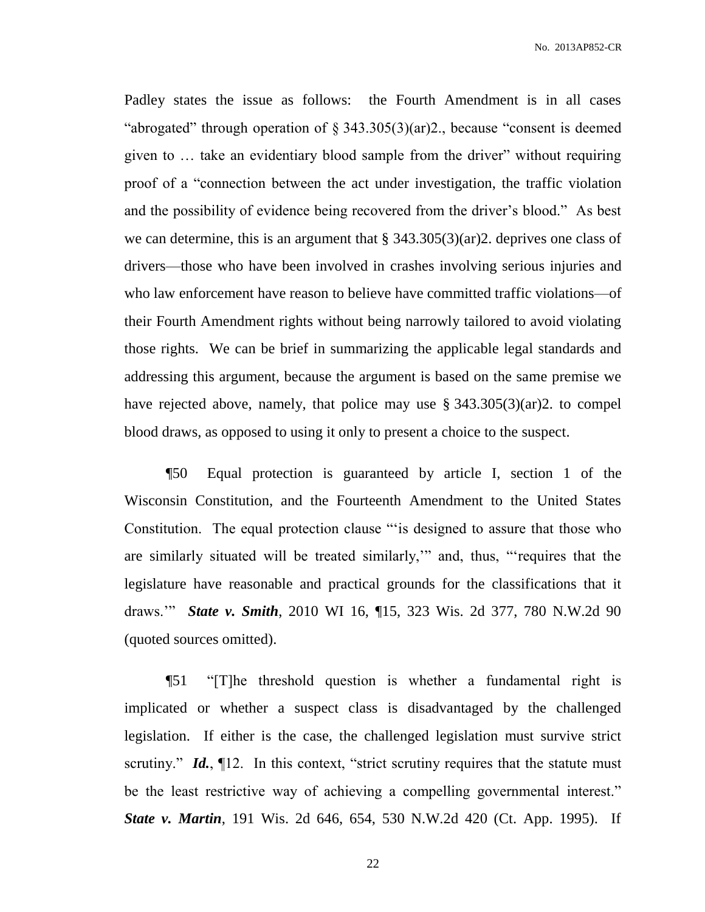Padley states the issue as follows: the Fourth Amendment is in all cases "abrogated" through operation of § 343.305(3)(ar)2., because "consent is deemed given to … take an evidentiary blood sample from the driver" without requiring proof of a "connection between the act under investigation, the traffic violation and the possibility of evidence being recovered from the driver's blood." As best we can determine, this is an argument that  $\S 343.305(3)(ar)2$ . deprives one class of drivers—those who have been involved in crashes involving serious injuries and who law enforcement have reason to believe have committed traffic violations—of their Fourth Amendment rights without being narrowly tailored to avoid violating those rights. We can be brief in summarizing the applicable legal standards and addressing this argument, because the argument is based on the same premise we have rejected above, namely, that police may use  $\S$  343.305(3)(ar)2. to compel blood draws, as opposed to using it only to present a choice to the suspect.

¶50 Equal protection is guaranteed by article I, section 1 of the Wisconsin Constitution, and the Fourteenth Amendment to the United States Constitution. The equal protection clause "'is designed to assure that those who are similarly situated will be treated similarly,'" and, thus, "'requires that the legislature have reasonable and practical grounds for the classifications that it draws.'" *State v. Smith*, 2010 WI 16, ¶15, 323 Wis. 2d 377, 780 N.W.2d 90 (quoted sources omitted).

¶51 "[T]he threshold question is whether a fundamental right is implicated or whether a suspect class is disadvantaged by the challenged legislation. If either is the case, the challenged legislation must survive strict scrutiny." *Id.*, 12. In this context, "strict scrutiny requires that the statute must be the least restrictive way of achieving a compelling governmental interest." *State v. Martin*, 191 Wis. 2d 646, 654, 530 N.W.2d 420 (Ct. App. 1995). If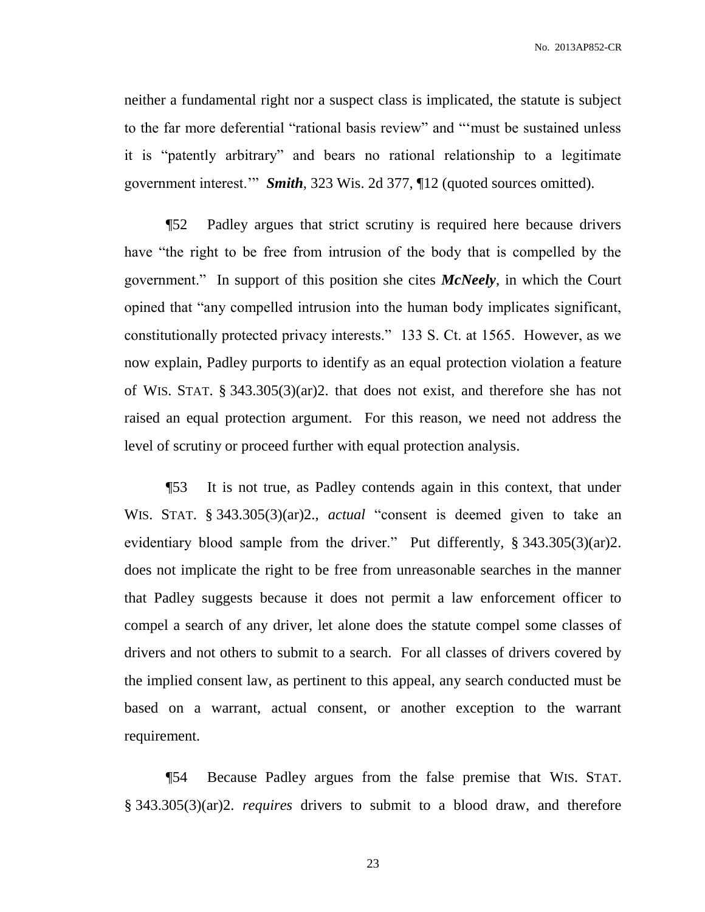No. 2013AP852-CR

neither a fundamental right nor a suspect class is implicated, the statute is subject to the far more deferential "rational basis review" and "'must be sustained unless it is "patently arbitrary" and bears no rational relationship to a legitimate government interest.'" *Smith*, 323 Wis. 2d 377, ¶12 (quoted sources omitted).

¶52 Padley argues that strict scrutiny is required here because drivers have "the right to be free from intrusion of the body that is compelled by the government." In support of this position she cites *McNeely*, in which the Court opined that "any compelled intrusion into the human body implicates significant, constitutionally protected privacy interests." 133 S. Ct. at 1565. However, as we now explain, Padley purports to identify as an equal protection violation a feature of WIS. STAT. § 343.305(3)(ar)2. that does not exist, and therefore she has not raised an equal protection argument. For this reason, we need not address the level of scrutiny or proceed further with equal protection analysis.

¶53 It is not true, as Padley contends again in this context, that under WIS. STAT. § 343.305(3)(ar)2., *actual* "consent is deemed given to take an evidentiary blood sample from the driver." Put differently, § 343.305(3)(ar)2. does not implicate the right to be free from unreasonable searches in the manner that Padley suggests because it does not permit a law enforcement officer to compel a search of any driver, let alone does the statute compel some classes of drivers and not others to submit to a search. For all classes of drivers covered by the implied consent law, as pertinent to this appeal, any search conducted must be based on a warrant, actual consent, or another exception to the warrant requirement.

¶54 Because Padley argues from the false premise that WIS. STAT. § 343.305(3)(ar)2. *requires* drivers to submit to a blood draw, and therefore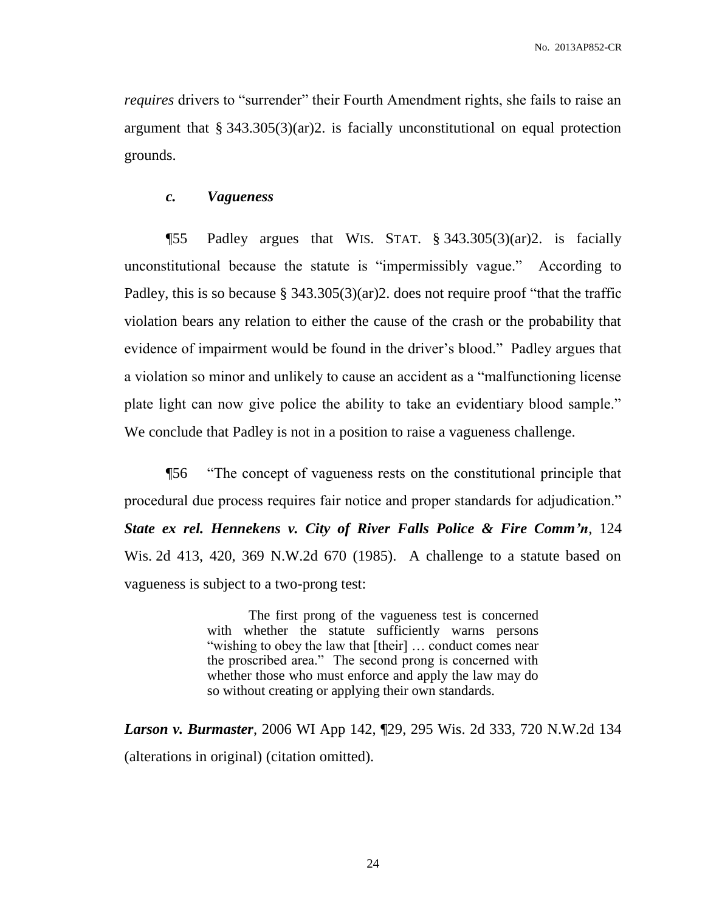*requires* drivers to "surrender" their Fourth Amendment rights, she fails to raise an argument that § 343.305(3)(ar)2. is facially unconstitutional on equal protection grounds.

#### *c. Vagueness*

¶55 Padley argues that WIS. STAT. § 343.305(3)(ar)2. is facially unconstitutional because the statute is "impermissibly vague." According to Padley, this is so because § 343.305(3)(ar)2. does not require proof "that the traffic violation bears any relation to either the cause of the crash or the probability that evidence of impairment would be found in the driver's blood." Padley argues that a violation so minor and unlikely to cause an accident as a "malfunctioning license plate light can now give police the ability to take an evidentiary blood sample." We conclude that Padley is not in a position to raise a vagueness challenge.

¶56 "The concept of vagueness rests on the constitutional principle that procedural due process requires fair notice and proper standards for adjudication." *State ex rel. Hennekens v. City of River Falls Police & Fire Comm'n*, 124 Wis. 2d 413, 420, 369 N.W.2d 670 (1985). A challenge to a statute based on vagueness is subject to a two-prong test:

> The first prong of the vagueness test is concerned with whether the statute sufficiently warns persons "wishing to obey the law that [their] … conduct comes near the proscribed area." The second prong is concerned with whether those who must enforce and apply the law may do so without creating or applying their own standards.

*Larson v. Burmaster*, 2006 WI App 142, ¶29, 295 Wis. 2d 333, 720 N.W.2d 134 (alterations in original) (citation omitted).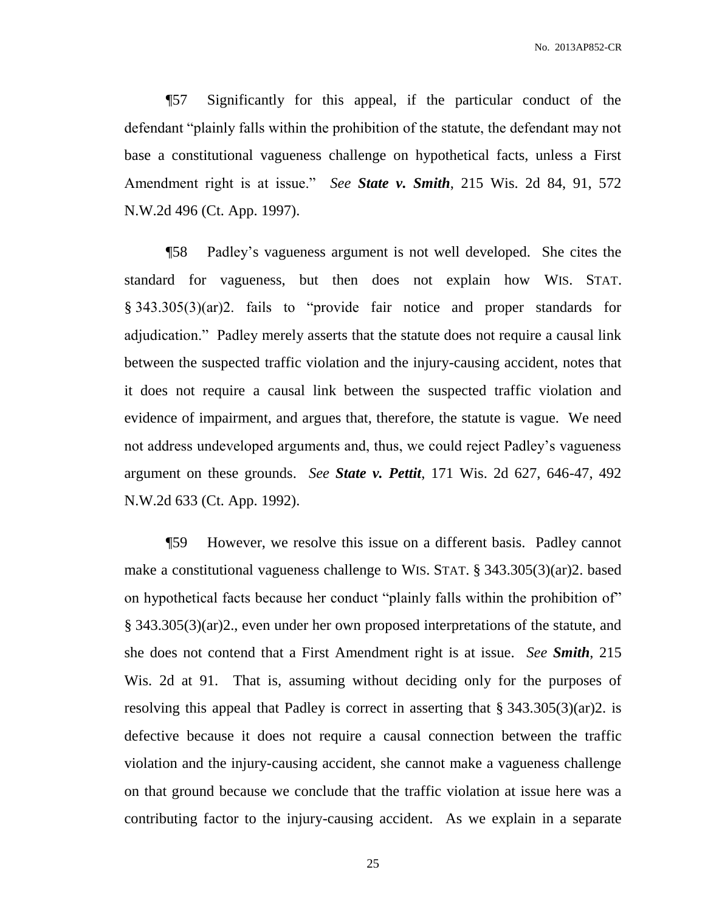No. 2013AP852-CR

¶57 Significantly for this appeal, if the particular conduct of the defendant "plainly falls within the prohibition of the statute, the defendant may not base a constitutional vagueness challenge on hypothetical facts, unless a First Amendment right is at issue." *See State v. Smith*, 215 Wis. 2d 84, 91, 572 N.W.2d 496 (Ct. App. 1997).

¶58 Padley's vagueness argument is not well developed. She cites the standard for vagueness, but then does not explain how WIS. STAT. § 343.305(3)(ar)2. fails to "provide fair notice and proper standards for adjudication." Padley merely asserts that the statute does not require a causal link between the suspected traffic violation and the injury-causing accident, notes that it does not require a causal link between the suspected traffic violation and evidence of impairment, and argues that, therefore, the statute is vague. We need not address undeveloped arguments and, thus, we could reject Padley's vagueness argument on these grounds. *See State v. Pettit*, 171 Wis. 2d 627, 646-47, 492 N.W.2d 633 (Ct. App. 1992).

¶59 However, we resolve this issue on a different basis. Padley cannot make a constitutional vagueness challenge to WIS. STAT. § 343.305(3)(ar)2. based on hypothetical facts because her conduct "plainly falls within the prohibition of" § 343.305(3)(ar)2., even under her own proposed interpretations of the statute, and she does not contend that a First Amendment right is at issue. *See Smith*, 215 Wis. 2d at 91. That is, assuming without deciding only for the purposes of resolving this appeal that Padley is correct in asserting that § 343.305(3)(ar)2. is defective because it does not require a causal connection between the traffic violation and the injury-causing accident, she cannot make a vagueness challenge on that ground because we conclude that the traffic violation at issue here was a contributing factor to the injury-causing accident. As we explain in a separate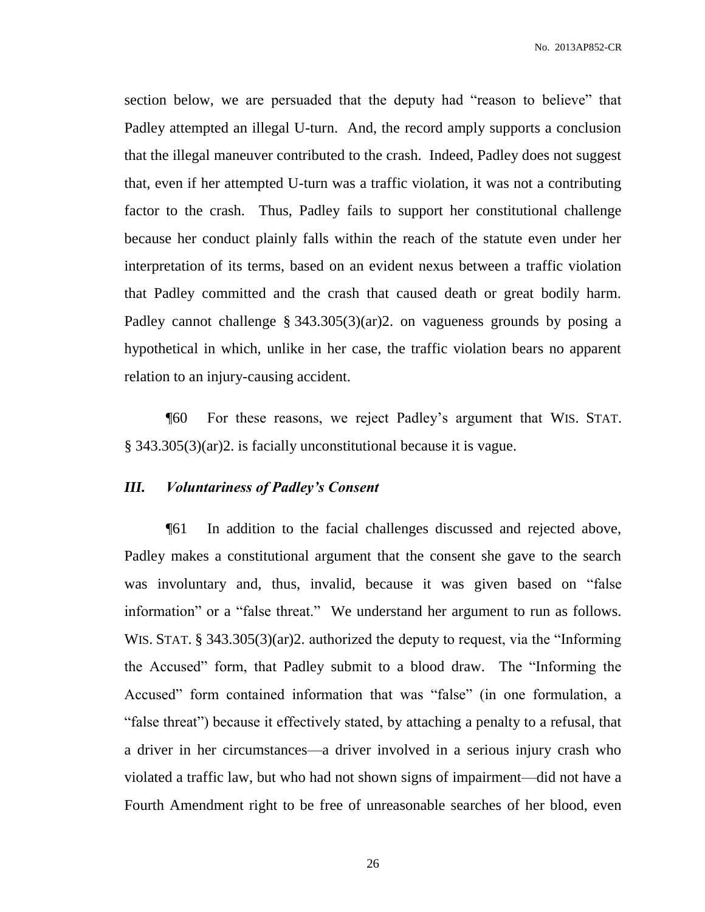section below, we are persuaded that the deputy had "reason to believe" that Padley attempted an illegal U-turn. And, the record amply supports a conclusion that the illegal maneuver contributed to the crash. Indeed, Padley does not suggest that, even if her attempted U-turn was a traffic violation, it was not a contributing factor to the crash. Thus, Padley fails to support her constitutional challenge because her conduct plainly falls within the reach of the statute even under her interpretation of its terms, based on an evident nexus between a traffic violation that Padley committed and the crash that caused death or great bodily harm. Padley cannot challenge § 343.305(3)(ar)2. on vagueness grounds by posing a hypothetical in which, unlike in her case, the traffic violation bears no apparent relation to an injury-causing accident.

¶60 For these reasons, we reject Padley's argument that WIS. STAT. § 343.305(3)(ar)2. is facially unconstitutional because it is vague.

### *III. Voluntariness of Padley's Consent*

¶61 In addition to the facial challenges discussed and rejected above, Padley makes a constitutional argument that the consent she gave to the search was involuntary and, thus, invalid, because it was given based on "false information" or a "false threat." We understand her argument to run as follows. WIS. STAT. § 343.305(3)(ar)2. authorized the deputy to request, via the "Informing the Accused" form, that Padley submit to a blood draw. The "Informing the Accused" form contained information that was "false" (in one formulation, a "false threat") because it effectively stated, by attaching a penalty to a refusal, that a driver in her circumstances—a driver involved in a serious injury crash who violated a traffic law, but who had not shown signs of impairment—did not have a Fourth Amendment right to be free of unreasonable searches of her blood, even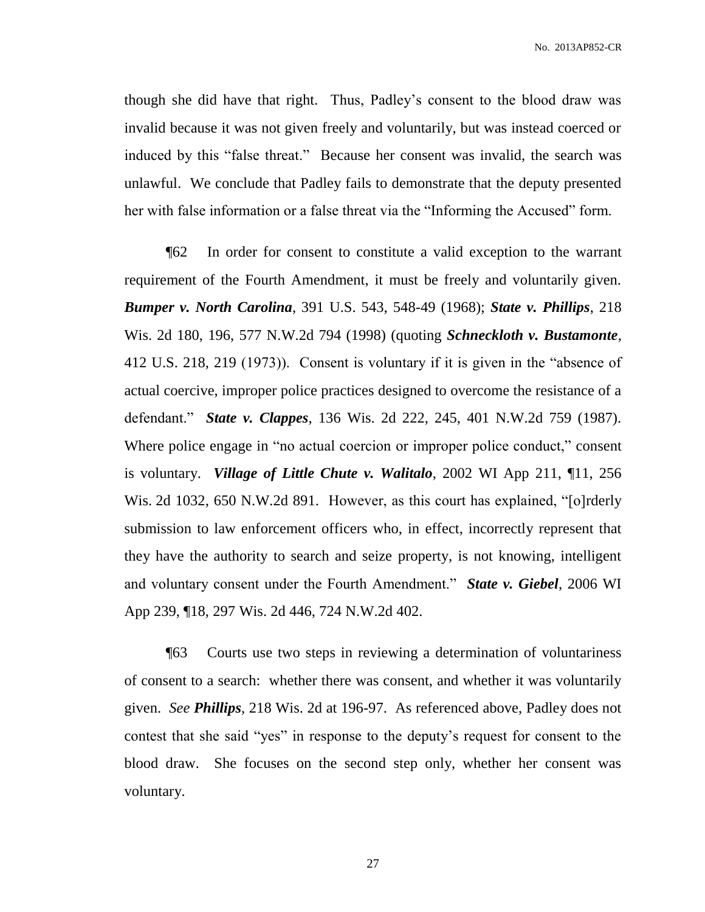though she did have that right. Thus, Padley's consent to the blood draw was invalid because it was not given freely and voluntarily, but was instead coerced or induced by this "false threat." Because her consent was invalid, the search was unlawful. We conclude that Padley fails to demonstrate that the deputy presented her with false information or a false threat via the "Informing the Accused" form.

¶62 In order for consent to constitute a valid exception to the warrant requirement of the Fourth Amendment, it must be freely and voluntarily given. *Bumper v. North Carolina*, 391 U.S. 543, 548-49 (1968); *State v. Phillips*, 218 Wis. 2d 180, 196, 577 N.W.2d 794 (1998) (quoting *Schneckloth v. Bustamonte*, 412 U.S. 218, 219 (1973)). Consent is voluntary if it is given in the "absence of actual coercive, improper police practices designed to overcome the resistance of a defendant." *State v. Clappes*, 136 Wis. 2d 222, 245, 401 N.W.2d 759 (1987). Where police engage in "no actual coercion or improper police conduct," consent is voluntary. *Village of Little Chute v. Walitalo*, 2002 WI App 211, ¶11, 256 Wis. 2d 1032, 650 N.W.2d 891. However, as this court has explained, "[o]rderly submission to law enforcement officers who, in effect, incorrectly represent that they have the authority to search and seize property, is not knowing, intelligent and voluntary consent under the Fourth Amendment." *State v. Giebel*, 2006 WI App 239, ¶18, 297 Wis. 2d 446, 724 N.W.2d 402.

¶63 Courts use two steps in reviewing a determination of voluntariness of consent to a search: whether there was consent, and whether it was voluntarily given. *See Phillips*, 218 Wis. 2d at 196-97. As referenced above, Padley does not contest that she said "yes" in response to the deputy's request for consent to the blood draw. She focuses on the second step only, whether her consent was voluntary.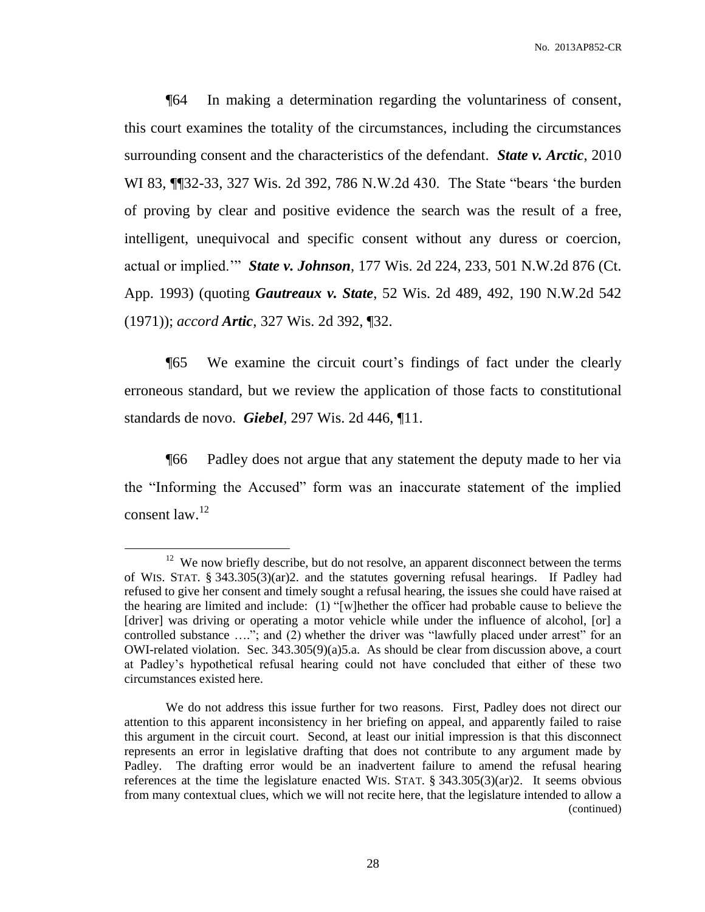¶64 In making a determination regarding the voluntariness of consent, this court examines the totality of the circumstances, including the circumstances surrounding consent and the characteristics of the defendant. *State v. Arctic*, 2010 WI 83, ¶¶32-33, 327 Wis. 2d 392, 786 N.W.2d 430. The State "bears 'the burden of proving by clear and positive evidence the search was the result of a free, intelligent, unequivocal and specific consent without any duress or coercion, actual or implied.'" *State v. Johnson*, 177 Wis. 2d 224, 233, 501 N.W.2d 876 (Ct. App. 1993) (quoting *Gautreaux v. State*, 52 Wis. 2d 489, 492, 190 N.W.2d 542 (1971)); *accord Artic*, 327 Wis. 2d 392, ¶32.

¶65 We examine the circuit court's findings of fact under the clearly erroneous standard, but we review the application of those facts to constitutional standards de novo. *Giebel*, 297 Wis. 2d 446, ¶11.

¶66 Padley does not argue that any statement the deputy made to her via the "Informing the Accused" form was an inaccurate statement of the implied consent law.<sup>12</sup>

 $\overline{a}$ 

 $12$  We now briefly describe, but do not resolve, an apparent disconnect between the terms of WIS. STAT. § 343.305(3)(ar)2. and the statutes governing refusal hearings. If Padley had refused to give her consent and timely sought a refusal hearing, the issues she could have raised at the hearing are limited and include: (1) "[w]hether the officer had probable cause to believe the [driver] was driving or operating a motor vehicle while under the influence of alcohol, [or] a controlled substance …."; and (2) whether the driver was "lawfully placed under arrest" for an OWI-related violation. Sec.  $343.305(9)(a)5.a.$  As should be clear from discussion above, a court at Padley's hypothetical refusal hearing could not have concluded that either of these two circumstances existed here.

We do not address this issue further for two reasons. First, Padley does not direct our attention to this apparent inconsistency in her briefing on appeal, and apparently failed to raise this argument in the circuit court. Second, at least our initial impression is that this disconnect represents an error in legislative drafting that does not contribute to any argument made by Padley. The drafting error would be an inadvertent failure to amend the refusal hearing references at the time the legislature enacted WIS. STAT. § 343.305(3)(ar)2. It seems obvious from many contextual clues, which we will not recite here, that the legislature intended to allow a (continued)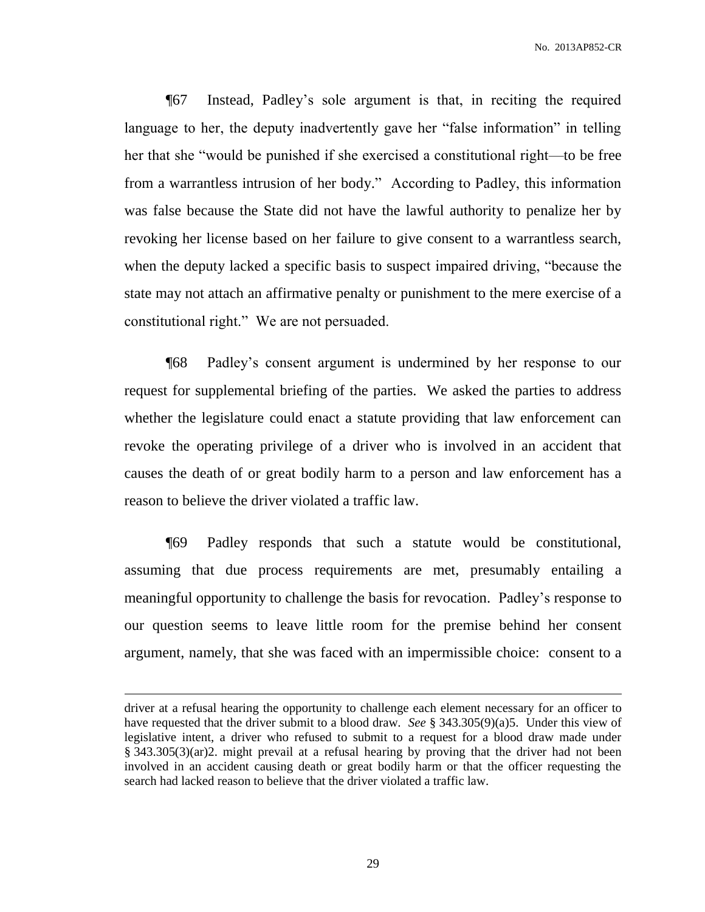¶67 Instead, Padley's sole argument is that, in reciting the required language to her, the deputy inadvertently gave her "false information" in telling her that she "would be punished if she exercised a constitutional right—to be free from a warrantless intrusion of her body." According to Padley, this information was false because the State did not have the lawful authority to penalize her by revoking her license based on her failure to give consent to a warrantless search, when the deputy lacked a specific basis to suspect impaired driving, "because the state may not attach an affirmative penalty or punishment to the mere exercise of a constitutional right." We are not persuaded.

¶68 Padley's consent argument is undermined by her response to our request for supplemental briefing of the parties. We asked the parties to address whether the legislature could enact a statute providing that law enforcement can revoke the operating privilege of a driver who is involved in an accident that causes the death of or great bodily harm to a person and law enforcement has a reason to believe the driver violated a traffic law.

¶69 Padley responds that such a statute would be constitutional, assuming that due process requirements are met, presumably entailing a meaningful opportunity to challenge the basis for revocation. Padley's response to our question seems to leave little room for the premise behind her consent argument, namely, that she was faced with an impermissible choice: consent to a

 $\overline{a}$ 

driver at a refusal hearing the opportunity to challenge each element necessary for an officer to have requested that the driver submit to a blood draw. *See* § 343.305(9)(a)5. Under this view of legislative intent, a driver who refused to submit to a request for a blood draw made under § 343.305(3)(ar)2. might prevail at a refusal hearing by proving that the driver had not been involved in an accident causing death or great bodily harm or that the officer requesting the search had lacked reason to believe that the driver violated a traffic law.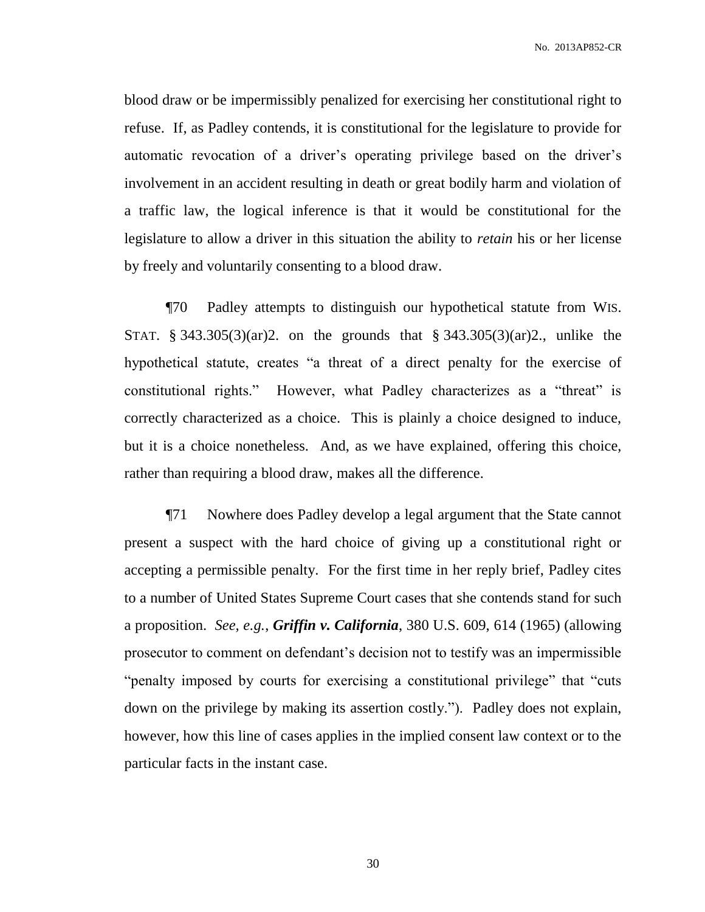No. 2013AP852-CR

blood draw or be impermissibly penalized for exercising her constitutional right to refuse. If, as Padley contends, it is constitutional for the legislature to provide for automatic revocation of a driver's operating privilege based on the driver's involvement in an accident resulting in death or great bodily harm and violation of a traffic law, the logical inference is that it would be constitutional for the legislature to allow a driver in this situation the ability to *retain* his or her license by freely and voluntarily consenting to a blood draw.

¶70 Padley attempts to distinguish our hypothetical statute from WIS. STAT. § 343.305(3)(ar)2. on the grounds that § 343.305(3)(ar)2., unlike the hypothetical statute, creates "a threat of a direct penalty for the exercise of constitutional rights." However, what Padley characterizes as a "threat" is correctly characterized as a choice. This is plainly a choice designed to induce, but it is a choice nonetheless. And, as we have explained, offering this choice, rather than requiring a blood draw, makes all the difference.

¶71 Nowhere does Padley develop a legal argument that the State cannot present a suspect with the hard choice of giving up a constitutional right or accepting a permissible penalty. For the first time in her reply brief, Padley cites to a number of United States Supreme Court cases that she contends stand for such a proposition. *See, e.g.*, *Griffin v. California*, 380 U.S. 609, 614 (1965) (allowing prosecutor to comment on defendant's decision not to testify was an impermissible "penalty imposed by courts for exercising a constitutional privilege" that "cuts down on the privilege by making its assertion costly."). Padley does not explain, however, how this line of cases applies in the implied consent law context or to the particular facts in the instant case.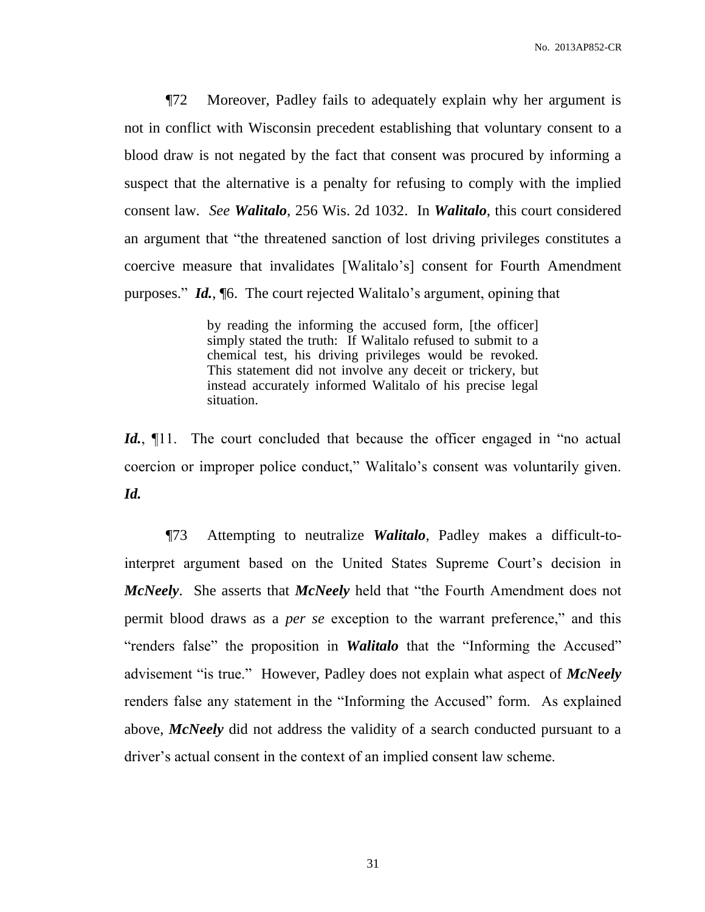¶72 Moreover, Padley fails to adequately explain why her argument is not in conflict with Wisconsin precedent establishing that voluntary consent to a blood draw is not negated by the fact that consent was procured by informing a suspect that the alternative is a penalty for refusing to comply with the implied consent law. *See Walitalo*, 256 Wis. 2d 1032. In *Walitalo*, this court considered an argument that "the threatened sanction of lost driving privileges constitutes a coercive measure that invalidates [Walitalo's] consent for Fourth Amendment purposes." *Id.*, ¶6. The court rejected Walitalo's argument, opining that

> by reading the informing the accused form, [the officer] simply stated the truth: If Walitalo refused to submit to a chemical test, his driving privileges would be revoked. This statement did not involve any deceit or trickery, but instead accurately informed Walitalo of his precise legal situation.

Id.,  $\P$ 11. The court concluded that because the officer engaged in "no actual" coercion or improper police conduct," Walitalo's consent was voluntarily given. *Id.*

¶73 Attempting to neutralize *Walitalo*, Padley makes a difficult-tointerpret argument based on the United States Supreme Court's decision in *McNeely*. She asserts that *McNeely* held that "the Fourth Amendment does not permit blood draws as a *per se* exception to the warrant preference," and this "renders false" the proposition in *Walitalo* that the "Informing the Accused" advisement "is true." However, Padley does not explain what aspect of *McNeely* renders false any statement in the "Informing the Accused" form. As explained above, *McNeely* did not address the validity of a search conducted pursuant to a driver's actual consent in the context of an implied consent law scheme.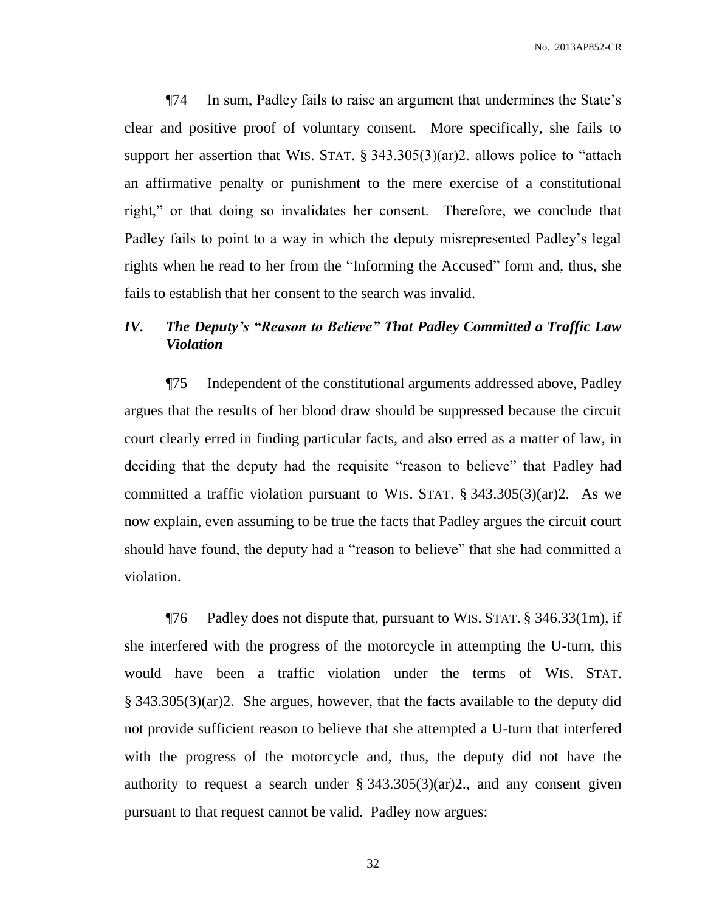¶74 In sum, Padley fails to raise an argument that undermines the State's clear and positive proof of voluntary consent. More specifically, she fails to support her assertion that WIS. STAT. § 343.305(3)(ar)2. allows police to "attach an affirmative penalty or punishment to the mere exercise of a constitutional right," or that doing so invalidates her consent. Therefore, we conclude that Padley fails to point to a way in which the deputy misrepresented Padley's legal rights when he read to her from the "Informing the Accused" form and, thus, she fails to establish that her consent to the search was invalid.

# *IV. The Deputy's "Reason to Believe" That Padley Committed a Traffic Law Violation*

¶75 Independent of the constitutional arguments addressed above, Padley argues that the results of her blood draw should be suppressed because the circuit court clearly erred in finding particular facts, and also erred as a matter of law, in deciding that the deputy had the requisite "reason to believe" that Padley had committed a traffic violation pursuant to WIS. STAT.  $\S$  343.305(3)(ar)2. As we now explain, even assuming to be true the facts that Padley argues the circuit court should have found, the deputy had a "reason to believe" that she had committed a violation.

¶76 Padley does not dispute that, pursuant to WIS. STAT. § 346.33(1m), if she interfered with the progress of the motorcycle in attempting the U-turn, this would have been a traffic violation under the terms of WIS. STAT. § 343.305(3)(ar)2. She argues, however, that the facts available to the deputy did not provide sufficient reason to believe that she attempted a U-turn that interfered with the progress of the motorcycle and, thus, the deputy did not have the authority to request a search under  $\S 343.305(3)(ar)2$ , and any consent given pursuant to that request cannot be valid. Padley now argues: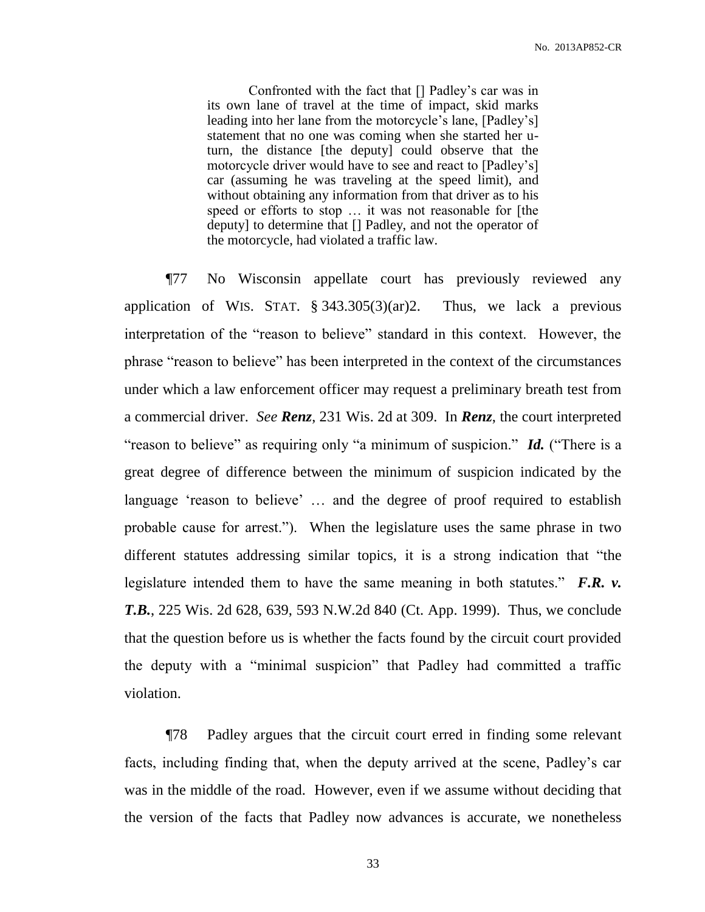Confronted with the fact that [] Padley's car was in its own lane of travel at the time of impact, skid marks leading into her lane from the motorcycle's lane, [Padley's] statement that no one was coming when she started her uturn, the distance [the deputy] could observe that the motorcycle driver would have to see and react to [Padley's] car (assuming he was traveling at the speed limit), and without obtaining any information from that driver as to his speed or efforts to stop … it was not reasonable for [the deputy] to determine that [] Padley, and not the operator of the motorcycle, had violated a traffic law.

¶77 No Wisconsin appellate court has previously reviewed any application of WIS. STAT.  $\S$  343.305(3)(ar)2. Thus, we lack a previous interpretation of the "reason to believe" standard in this context. However, the phrase "reason to believe" has been interpreted in the context of the circumstances under which a law enforcement officer may request a preliminary breath test from a commercial driver. *See Renz*, 231 Wis. 2d at 309. In *Renz*, the court interpreted "reason to believe" as requiring only "a minimum of suspicion." *Id.* ("There is a great degree of difference between the minimum of suspicion indicated by the language 'reason to believe' … and the degree of proof required to establish probable cause for arrest."). When the legislature uses the same phrase in two different statutes addressing similar topics, it is a strong indication that "the legislature intended them to have the same meaning in both statutes." *F.R. v. T.B.*, 225 Wis. 2d 628, 639, 593 N.W.2d 840 (Ct. App. 1999). Thus, we conclude that the question before us is whether the facts found by the circuit court provided the deputy with a "minimal suspicion" that Padley had committed a traffic violation.

¶78 Padley argues that the circuit court erred in finding some relevant facts, including finding that, when the deputy arrived at the scene, Padley's car was in the middle of the road. However, even if we assume without deciding that the version of the facts that Padley now advances is accurate, we nonetheless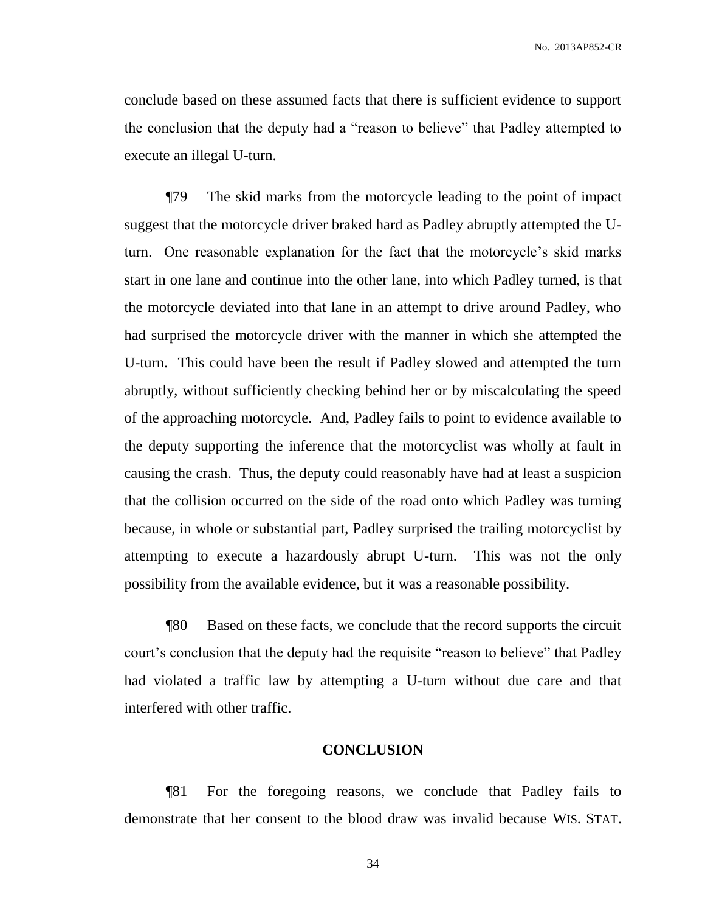conclude based on these assumed facts that there is sufficient evidence to support the conclusion that the deputy had a "reason to believe" that Padley attempted to execute an illegal U-turn.

¶79 The skid marks from the motorcycle leading to the point of impact suggest that the motorcycle driver braked hard as Padley abruptly attempted the Uturn. One reasonable explanation for the fact that the motorcycle's skid marks start in one lane and continue into the other lane, into which Padley turned, is that the motorcycle deviated into that lane in an attempt to drive around Padley, who had surprised the motorcycle driver with the manner in which she attempted the U-turn. This could have been the result if Padley slowed and attempted the turn abruptly, without sufficiently checking behind her or by miscalculating the speed of the approaching motorcycle. And, Padley fails to point to evidence available to the deputy supporting the inference that the motorcyclist was wholly at fault in causing the crash. Thus, the deputy could reasonably have had at least a suspicion that the collision occurred on the side of the road onto which Padley was turning because, in whole or substantial part, Padley surprised the trailing motorcyclist by attempting to execute a hazardously abrupt U-turn. This was not the only possibility from the available evidence, but it was a reasonable possibility.

¶80 Based on these facts, we conclude that the record supports the circuit court's conclusion that the deputy had the requisite "reason to believe" that Padley had violated a traffic law by attempting a U-turn without due care and that interfered with other traffic.

#### **CONCLUSION**

¶81 For the foregoing reasons, we conclude that Padley fails to demonstrate that her consent to the blood draw was invalid because WIS. STAT.